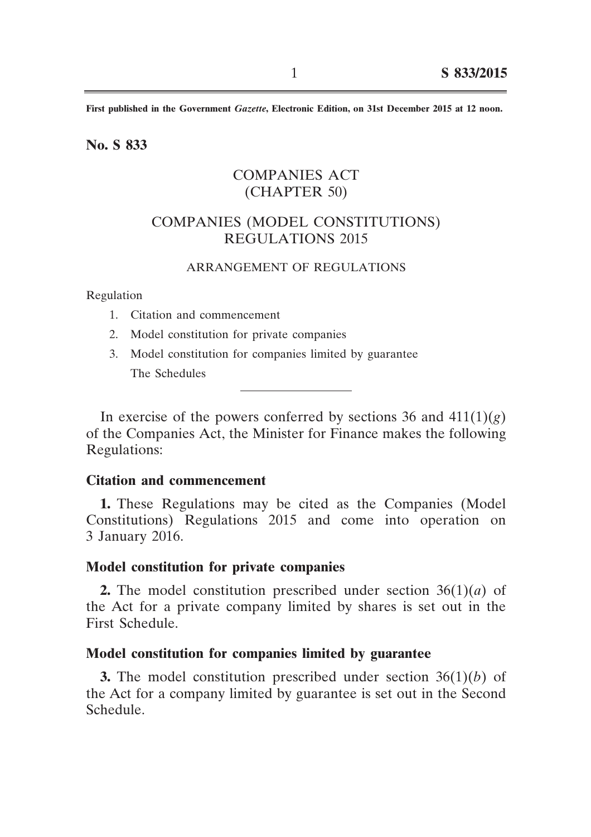**First published in the Government** *Gazette***, Electronic Edition, on 31st December 2015 at 12 noon.**

**No. S 833**

# COMPANIES ACT (CHAPTER 50)

# COMPANIES (MODEL CONSTITUTIONS) REGULATIONS 2015

# ARRANGEMENT OF REGULATIONS

Regulation

- 1. Citation and commencement
- 2. Model constitution for private companies
- 3. Model constitution for companies limited by guarantee The Schedules

In exercise of the powers conferred by sections 36 and  $411(1)(g)$ of the Companies Act, the Minister for Finance makes the following Regulations:

## **Citation and commencement**

**1.** These Regulations may be cited as the Companies (Model Constitutions) Regulations 2015 and come into operation on 3 January 2016.

## **Model constitution for private companies**

**2.** The model constitution prescribed under section 36(1)(*a*) of the Act for a private company limited by shares is set out in the First Schedule.

## **Model constitution for companies limited by guarantee**

**3.** The model constitution prescribed under section 36(1)(*b*) of the Act for a company limited by guarantee is set out in the Second Schedule.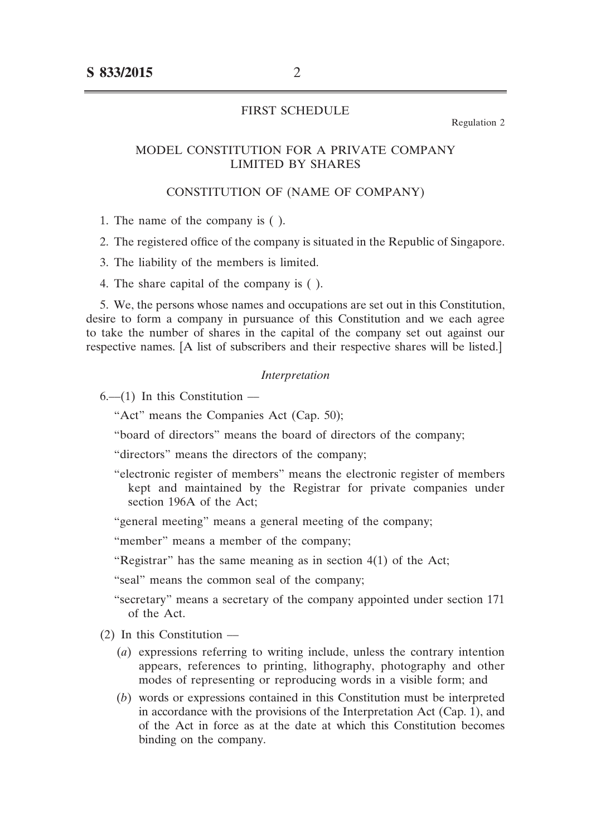## FIRST SCHEDULE

Regulation 2

## MODEL CONSTITUTION FOR A PRIVATE COMPANY LIMITED BY SHARES

#### CONSTITUTION OF (NAME OF COMPANY)

1. The name of the company is ( ).

2. The registered office of the company is situated in the Republic of Singapore.

- 3. The liability of the members is limited.
- 4. The share capital of the company is ( ).

5. We, the persons whose names and occupations are set out in this Constitution, desire to form a company in pursuance of this Constitution and we each agree to take the number of shares in the capital of the company set out against our respective names. [A list of subscribers and their respective shares will be listed.]

#### *Interpretation*

 $6-$ (1) In this Constitution –

"Act" means the Companies Act (Cap. 50);

"board of directors" means the board of directors of the company;

"directors" means the directors of the company;

"electronic register of members" means the electronic register of members kept and maintained by the Registrar for private companies under section 196A of the Act;

"general meeting" means a general meeting of the company;

"member" means a member of the company;

"Registrar" has the same meaning as in section  $4(1)$  of the Act;

"seal" means the common seal of the company;

- "secretary" means a secretary of the company appointed under section 171 of the Act.
- $(2)$  In this Constitution  $-$ 
	- (*a*) expressions referring to writing include, unless the contrary intention appears, references to printing, lithography, photography and other modes of representing or reproducing words in a visible form; and
	- (*b*) words or expressions contained in this Constitution must be interpreted in accordance with the provisions of the Interpretation Act (Cap. 1), and of the Act in force as at the date at which this Constitution becomes binding on the company.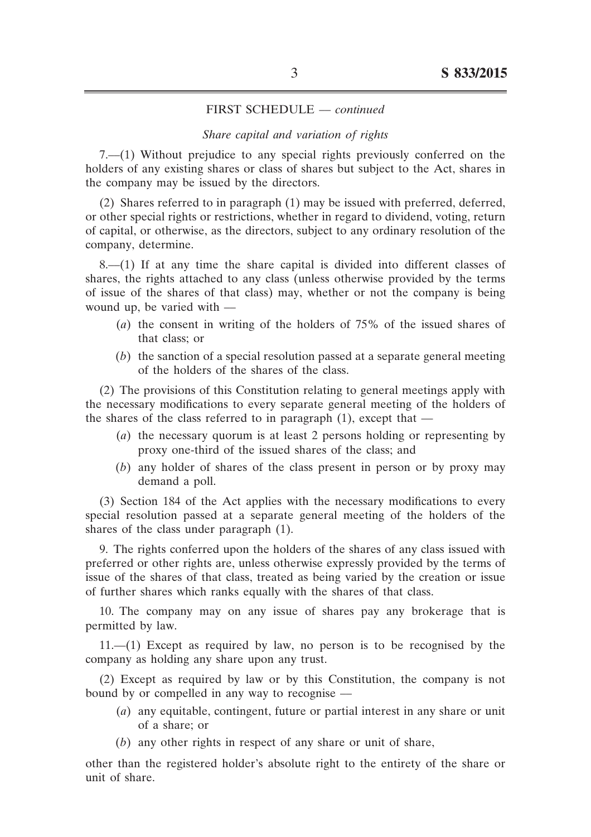#### *Share capital and variation of rights*

7.––(1) Without prejudice to any special rights previously conferred on the holders of any existing shares or class of shares but subject to the Act, shares in the company may be issued by the directors.

(2) Shares referred to in paragraph (1) may be issued with preferred, deferred, or other special rights or restrictions, whether in regard to dividend, voting, return of capital, or otherwise, as the directors, subject to any ordinary resolution of the company, determine.

 $8$ — $(1)$  If at any time the share capital is divided into different classes of shares, the rights attached to any class (unless otherwise provided by the terms of issue of the shares of that class) may, whether or not the company is being wound up, be varied with —

- (*a*) the consent in writing of the holders of 75% of the issued shares of that class; or
- (*b*) the sanction of a special resolution passed at a separate general meeting of the holders of the shares of the class.

(2) The provisions of this Constitution relating to general meetings apply with the necessary modifications to every separate general meeting of the holders of the shares of the class referred to in paragraph  $(1)$ , except that  $-$ 

- (*a*) the necessary quorum is at least 2 persons holding or representing by proxy one-third of the issued shares of the class; and
- (*b*) any holder of shares of the class present in person or by proxy may demand a poll.

(3) Section 184 of the Act applies with the necessary modifications to every special resolution passed at a separate general meeting of the holders of the shares of the class under paragraph (1).

9. The rights conferred upon the holders of the shares of any class issued with preferred or other rights are, unless otherwise expressly provided by the terms of issue of the shares of that class, treated as being varied by the creation or issue of further shares which ranks equally with the shares of that class.

10. The company may on any issue of shares pay any brokerage that is permitted by law.

11.––(1) Except as required by law, no person is to be recognised by the company as holding any share upon any trust.

(2) Except as required by law or by this Constitution, the company is not bound by or compelled in any way to recognise ––

- (*a*) any equitable, contingent, future or partial interest in any share or unit of a share; or
- (*b*) any other rights in respect of any share or unit of share,

other than the registered holder's absolute right to the entirety of the share or unit of share.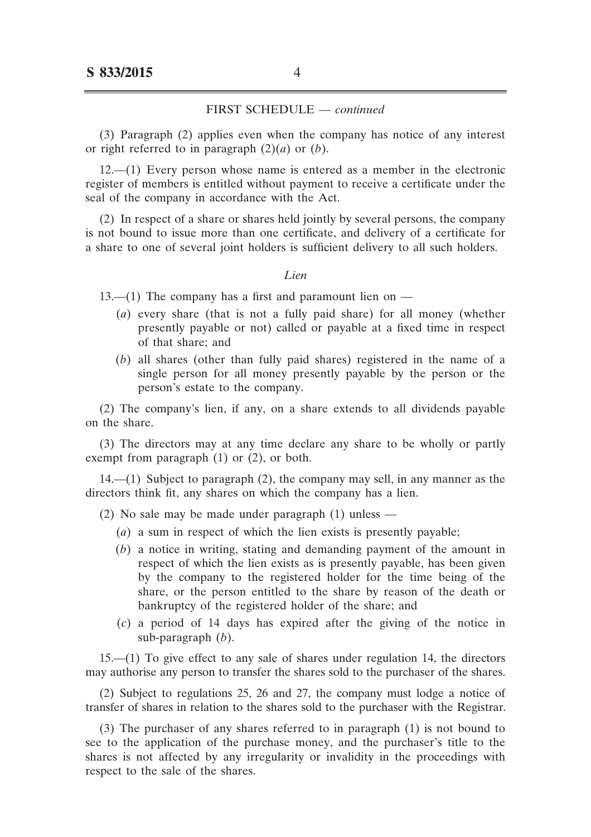(3) Paragraph (2) applies even when the company has notice of any interest or right referred to in paragraph  $(2)(a)$  or  $(b)$ .

12.––(1) Every person whose name is entered as a member in the electronic register of members is entitled without payment to receive a certificate under the seal of the company in accordance with the Act.

(2) In respect of a share or shares held jointly by several persons, the company is not bound to issue more than one certificate, and delivery of a certificate for a share to one of several joint holders is sufficient delivery to all such holders.

#### *Lien*

13.—(1) The company has a first and paramount lien on —

- (*a*) every share (that is not a fully paid share) for all money (whether presently payable or not) called or payable at a fixed time in respect of that share; and
- (*b*) all shares (other than fully paid shares) registered in the name of a single person for all money presently payable by the person or the person's estate to the company.

(2) The company's lien, if any, on a share extends to all dividends payable on the share.

(3) The directors may at any time declare any share to be wholly or partly exempt from paragraph (1) or (2), or both.

14.––(1) Subject to paragraph (2), the company may sell, in any manner as the directors think fit, any shares on which the company has a lien.

- (2) No sale may be made under paragraph (1) unless ––
	- (*a*) a sum in respect of which the lien exists is presently payable;
	- (b) a notice in writing, stating and demanding payment of the amount in respect of which the lien exists as is presently payable, has been given by the company to the registered holder for the time being of the share, or the person entitled to the share by reason of the death or bankruptcy of the registered holder of the share; and
	- (*c*) a period of 14 days has expired after the giving of the notice in sub-paragraph (*b*).

15.––(1) To give effect to any sale of shares under regulation 14, the directors may authorise any person to transfer the shares sold to the purchaser of the shares.

(2) Subject to regulations 25, 26 and 27, the company must lodge a notice of transfer of shares in relation to the shares sold to the purchaser with the Registrar.

(3) The purchaser of any shares referred to in paragraph (1) is not bound to see to the application of the purchase money, and the purchaser's title to the shares is not affected by any irregularity or invalidity in the proceedings with respect to the sale of the shares.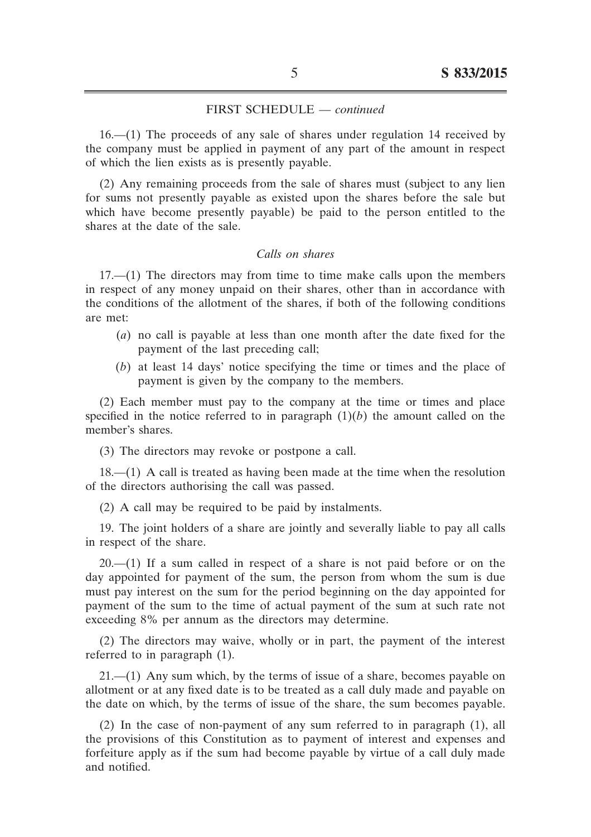16.––(1) The proceeds of any sale of shares under regulation 14 received by the company must be applied in payment of any part of the amount in respect of which the lien exists as is presently payable.

(2) Any remaining proceeds from the sale of shares must (subject to any lien for sums not presently payable as existed upon the shares before the sale but which have become presently payable) be paid to the person entitled to the shares at the date of the sale.

## *Calls on shares*

 $17.–(1)$  The directors may from time to time make calls upon the members in respect of any money unpaid on their shares, other than in accordance with the conditions of the allotment of the shares, if both of the following conditions are met:

- (*a*) no call is payable at less than one month after the date fixed for the payment of the last preceding call;
- (*b*) at least 14 days' notice specifying the time or times and the place of payment is given by the company to the members.

(2) Each member must pay to the company at the time or times and place specified in the notice referred to in paragraph  $(1)(b)$  the amount called on the member's shares.

(3) The directors may revoke or postpone a call.

18.––(1) A call is treated as having been made at the time when the resolution of the directors authorising the call was passed.

(2) A call may be required to be paid by instalments.

19. The joint holders of a share are jointly and severally liable to pay all calls in respect of the share.

 $20$ — $(1)$  If a sum called in respect of a share is not paid before or on the day appointed for payment of the sum, the person from whom the sum is due must pay interest on the sum for the period beginning on the day appointed for payment of the sum to the time of actual payment of the sum at such rate not exceeding 8% per annum as the directors may determine.

(2) The directors may waive, wholly or in part, the payment of the interest referred to in paragraph (1).

21.––(1) Any sum which, by the terms of issue of a share, becomes payable on allotment or at any fixed date is to be treated as a call duly made and payable on the date on which, by the terms of issue of the share, the sum becomes payable.

(2) In the case of non-payment of any sum referred to in paragraph (1), all the provisions of this Constitution as to payment of interest and expenses and forfeiture apply as if the sum had become payable by virtue of a call duly made and notified.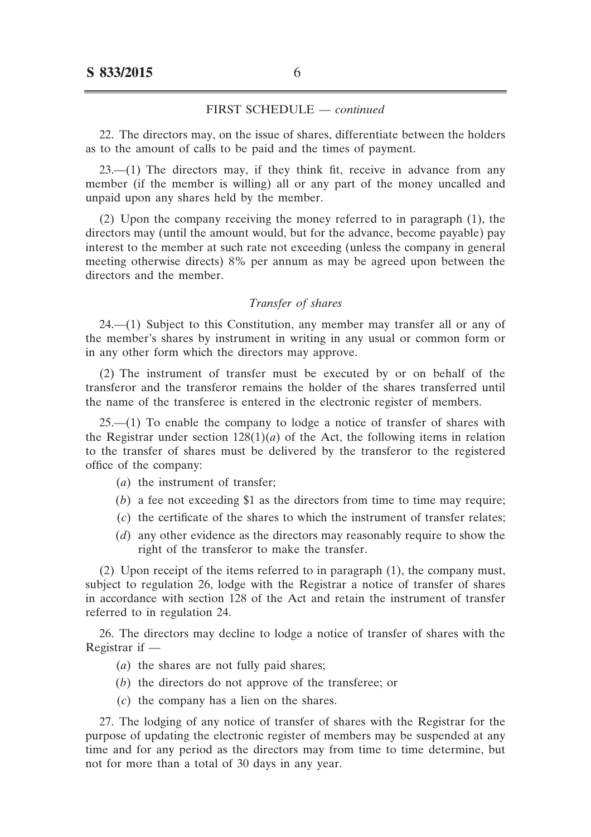22. The directors may, on the issue of shares, differentiate between the holders as to the amount of calls to be paid and the times of payment.

 $23$ — $(1)$  The directors may, if they think fit, receive in advance from any member (if the member is willing) all or any part of the money uncalled and unpaid upon any shares held by the member.

(2) Upon the company receiving the money referred to in paragraph (1), the directors may (until the amount would, but for the advance, become payable) pay interest to the member at such rate not exceeding (unless the company in general meeting otherwise directs) 8% per annum as may be agreed upon between the directors and the member.

#### *Transfer of shares*

24.––(1) Subject to this Constitution, any member may transfer all or any of the member's shares by instrument in writing in any usual or common form or in any other form which the directors may approve.

(2) The instrument of transfer must be executed by or on behalf of the transferor and the transferor remains the holder of the shares transferred until the name of the transferee is entered in the electronic register of members.

 $25$ — $(1)$  To enable the company to lodge a notice of transfer of shares with the Registrar under section  $128(1)(a)$  of the Act, the following items in relation to the transfer of shares must be delivered by the transferor to the registered office of the company:

- (*a*) the instrument of transfer;
- $(b)$  a fee not exceeding \$1 as the directors from time to time may require;
- (*c*) the certificate of the shares to which the instrument of transfer relates;
- (*d*) any other evidence as the directors may reasonably require to show the right of the transferor to make the transfer.

(2) Upon receipt of the items referred to in paragraph (1), the company must, subject to regulation 26, lodge with the Registrar a notice of transfer of shares in accordance with section 128 of the Act and retain the instrument of transfer referred to in regulation 24.

26. The directors may decline to lodge a notice of transfer of shares with the Registrar if ––

- (*a*) the shares are not fully paid shares;
- (*b*) the directors do not approve of the transferee; or
- (*c*) the company has a lien on the shares.

27. The lodging of any notice of transfer of shares with the Registrar for the purpose of updating the electronic register of members may be suspended at any time and for any period as the directors may from time to time determine, but not for more than a total of 30 days in any year.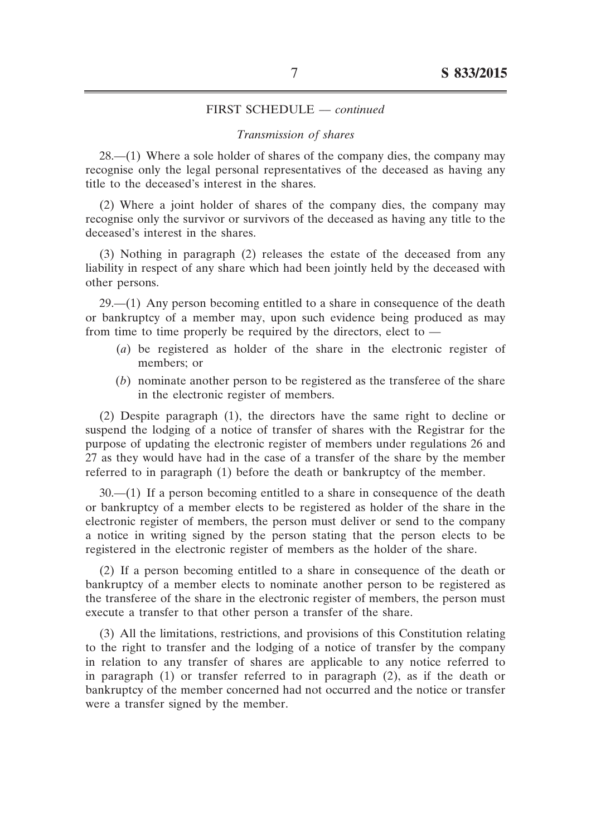#### *Transmission of shares*

28.––(1) Where a sole holder of shares of the company dies, the company may recognise only the legal personal representatives of the deceased as having any title to the deceased's interest in the shares.

(2) Where a joint holder of shares of the company dies, the company may recognise only the survivor or survivors of the deceased as having any title to the deceased's interest in the shares.

(3) Nothing in paragraph (2) releases the estate of the deceased from any liability in respect of any share which had been jointly held by the deceased with other persons.

 $29$ — $(1)$  Any person becoming entitled to a share in consequence of the death or bankruptcy of a member may, upon such evidence being produced as may from time to time properly be required by the directors, elect to ––

- (*a*) be registered as holder of the share in the electronic register of members; or
- (*b*) nominate another person to be registered as the transferee of the share in the electronic register of members.

(2) Despite paragraph (1), the directors have the same right to decline or suspend the lodging of a notice of transfer of shares with the Registrar for the purpose of updating the electronic register of members under regulations 26 and 27 as they would have had in the case of a transfer of the share by the member referred to in paragraph (1) before the death or bankruptcy of the member.

30.––(1) If a person becoming entitled to a share in consequence of the death or bankruptcy of a member elects to be registered as holder of the share in the electronic register of members, the person must deliver or send to the company a notice in writing signed by the person stating that the person elects to be registered in the electronic register of members as the holder of the share.

(2) If a person becoming entitled to a share in consequence of the death or bankruptcy of a member elects to nominate another person to be registered as the transferee of the share in the electronic register of members, the person must execute a transfer to that other person a transfer of the share.

(3) All the limitations, restrictions, and provisions of this Constitution relating to the right to transfer and the lodging of a notice of transfer by the company in relation to any transfer of shares are applicable to any notice referred to in paragraph (1) or transfer referred to in paragraph (2), as if the death or bankruptcy of the member concerned had not occurred and the notice or transfer were a transfer signed by the member.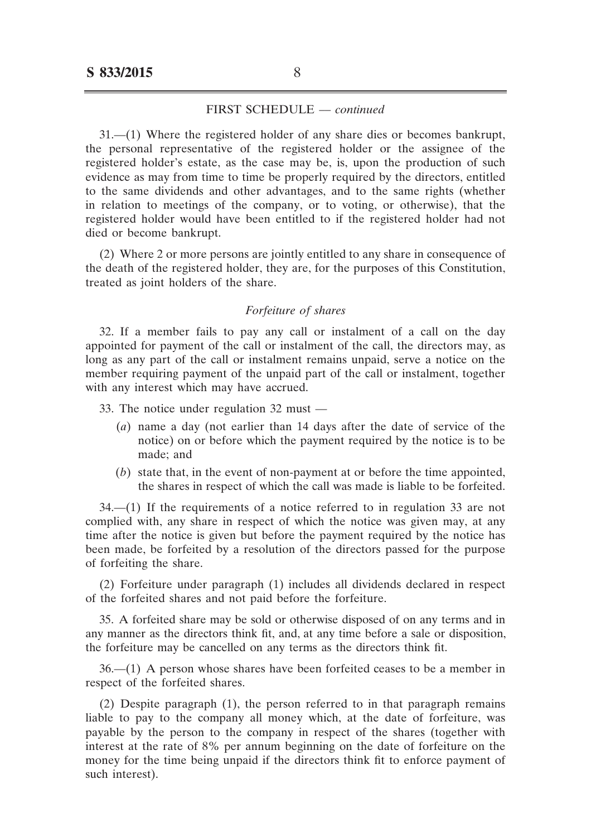31.––(1) Where the registered holder of any share dies or becomes bankrupt, the personal representative of the registered holder or the assignee of the registered holder's estate, as the case may be, is, upon the production of such evidence as may from time to time be properly required by the directors, entitled to the same dividends and other advantages, and to the same rights (whether in relation to meetings of the company, or to voting, or otherwise), that the registered holder would have been entitled to if the registered holder had not died or become bankrupt.

(2) Where 2 or more persons are jointly entitled to any share in consequence of the death of the registered holder, they are, for the purposes of this Constitution, treated as joint holders of the share.

## *Forfeiture of shares*

32. If a member fails to pay any call or instalment of a call on the day appointed for payment of the call or instalment of the call, the directors may, as long as any part of the call or instalment remains unpaid, serve a notice on the member requiring payment of the unpaid part of the call or instalment, together with any interest which may have accrued.

33. The notice under regulation 32 must ––

- (*a*) name a day (not earlier than 14 days after the date of service of the notice) on or before which the payment required by the notice is to be made; and
- (*b*) state that, in the event of non-payment at or before the time appointed, the shares in respect of which the call was made is liable to be forfeited.

34.––(1) If the requirements of a notice referred to in regulation 33 are not complied with, any share in respect of which the notice was given may, at any time after the notice is given but before the payment required by the notice has been made, be forfeited by a resolution of the directors passed for the purpose of forfeiting the share.

(2) Forfeiture under paragraph (1) includes all dividends declared in respect of the forfeited shares and not paid before the forfeiture.

35. A forfeited share may be sold or otherwise disposed of on any terms and in any manner as the directors think fit, and, at any time before a sale or disposition, the forfeiture may be cancelled on any terms as the directors think fit.

36.––(1) A person whose shares have been forfeited ceases to be a member in respect of the forfeited shares.

(2) Despite paragraph (1), the person referred to in that paragraph remains liable to pay to the company all money which, at the date of forfeiture, was payable by the person to the company in respect of the shares (together with interest at the rate of 8% per annum beginning on the date of forfeiture on the money for the time being unpaid if the directors think fit to enforce payment of such interest).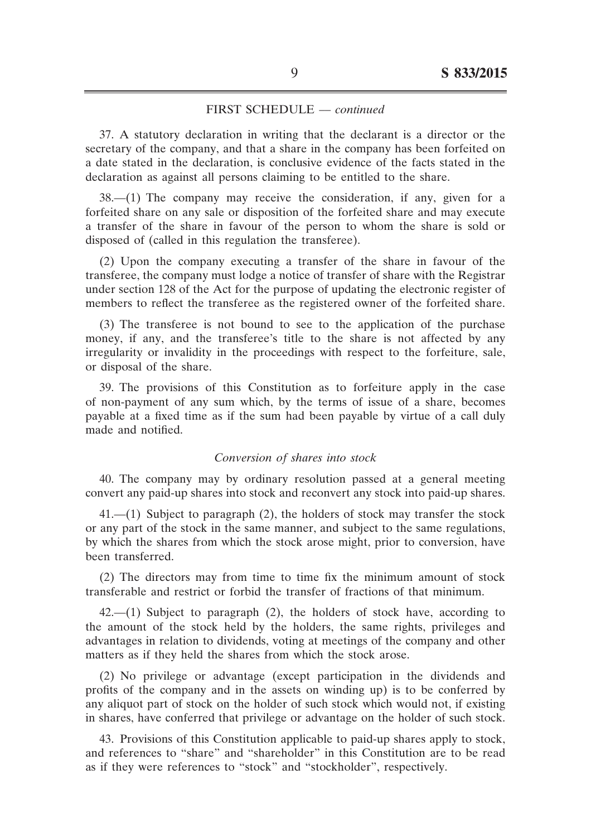37. A statutory declaration in writing that the declarant is a director or the secretary of the company, and that a share in the company has been forfeited on a date stated in the declaration, is conclusive evidence of the facts stated in the declaration as against all persons claiming to be entitled to the share.

38.––(1) The company may receive the consideration, if any, given for a forfeited share on any sale or disposition of the forfeited share and may execute a transfer of the share in favour of the person to whom the share is sold or disposed of (called in this regulation the transferee).

(2) Upon the company executing a transfer of the share in favour of the transferee, the company must lodge a notice of transfer of share with the Registrar under section 128 of the Act for the purpose of updating the electronic register of members to reflect the transferee as the registered owner of the forfeited share.

(3) The transferee is not bound to see to the application of the purchase money, if any, and the transferee's title to the share is not affected by any irregularity or invalidity in the proceedings with respect to the forfeiture, sale, or disposal of the share.

39. The provisions of this Constitution as to forfeiture apply in the case of non-payment of any sum which, by the terms of issue of a share, becomes payable at a fixed time as if the sum had been payable by virtue of a call duly made and notified.

#### *Conversion of shares into stock*

40. The company may by ordinary resolution passed at a general meeting convert any paid-up shares into stock and reconvert any stock into paid-up shares.

 $41$ .—(1) Subject to paragraph (2), the holders of stock may transfer the stock or any part of the stock in the same manner, and subject to the same regulations, by which the shares from which the stock arose might, prior to conversion, have been transferred.

(2) The directors may from time to time fix the minimum amount of stock transferable and restrict or forbid the transfer of fractions of that minimum.

 $42$ — $(1)$  Subject to paragraph  $(2)$ , the holders of stock have, according to the amount of the stock held by the holders, the same rights, privileges and advantages in relation to dividends, voting at meetings of the company and other matters as if they held the shares from which the stock arose.

(2) No privilege or advantage (except participation in the dividends and profits of the company and in the assets on winding up) is to be conferred by any aliquot part of stock on the holder of such stock which would not, if existing in shares, have conferred that privilege or advantage on the holder of such stock.

43. Provisions of this Constitution applicable to paid-up shares apply to stock, and references to "share" and "shareholder" in this Constitution are to be read as if they were references to "stock" and "stockholder", respectively.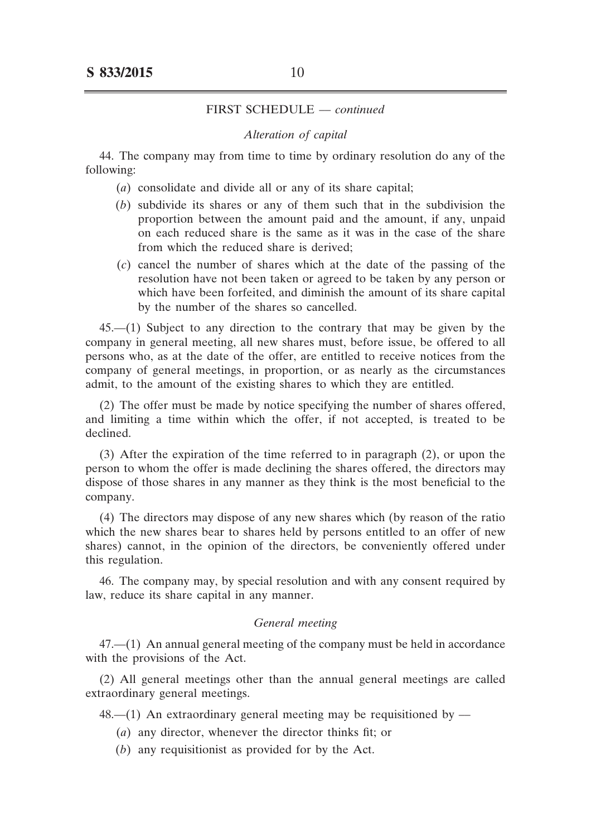#### *Alteration of capital*

44. The company may from time to time by ordinary resolution do any of the following:

- (*a*) consolidate and divide all or any of its share capital;
- (*b*) subdivide its shares or any of them such that in the subdivision the proportion between the amount paid and the amount, if any, unpaid on each reduced share is the same as it was in the case of the share from which the reduced share is derived;
- (*c*) cancel the number of shares which at the date of the passing of the resolution have not been taken or agreed to be taken by any person or which have been forfeited, and diminish the amount of its share capital by the number of the shares so cancelled.

45.––(1) Subject to any direction to the contrary that may be given by the company in general meeting, all new shares must, before issue, be offered to all persons who, as at the date of the offer, are entitled to receive notices from the company of general meetings, in proportion, or as nearly as the circumstances admit, to the amount of the existing shares to which they are entitled.

(2) The offer must be made by notice specifying the number of shares offered, and limiting a time within which the offer, if not accepted, is treated to be declined.

(3) After the expiration of the time referred to in paragraph (2), or upon the person to whom the offer is made declining the shares offered, the directors may dispose of those shares in any manner as they think is the most beneficial to the company.

(4) The directors may dispose of any new shares which (by reason of the ratio which the new shares bear to shares held by persons entitled to an offer of new shares) cannot, in the opinion of the directors, be conveniently offered under this regulation.

46. The company may, by special resolution and with any consent required by law, reduce its share capital in any manner.

#### *General meeting*

47.––(1) An annual general meeting of the company must be held in accordance with the provisions of the Act.

(2) All general meetings other than the annual general meetings are called extraordinary general meetings.

 $48$ — $(1)$  An extraordinary general meeting may be requisitioned by —

- (*a*) any director, whenever the director thinks fit; or
- (*b*) any requisitionist as provided for by the Act.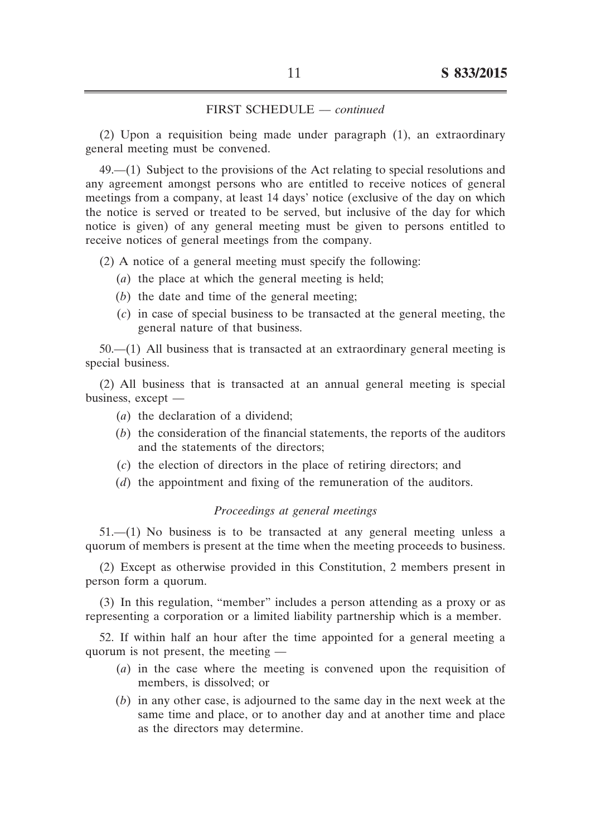(2) Upon a requisition being made under paragraph (1), an extraordinary general meeting must be convened.

49.––(1) Subject to the provisions of the Act relating to special resolutions and any agreement amongst persons who are entitled to receive notices of general meetings from a company, at least 14 days' notice (exclusive of the day on which the notice is served or treated to be served, but inclusive of the day for which notice is given) of any general meeting must be given to persons entitled to receive notices of general meetings from the company.

(2) A notice of a general meeting must specify the following:

- (*a*) the place at which the general meeting is held;
- $(b)$  the date and time of the general meeting;
- (*c*) in case of special business to be transacted at the general meeting, the general nature of that business.

 $50$ — $(1)$  All business that is transacted at an extraordinary general meeting is special business.

(2) All business that is transacted at an annual general meeting is special business, except ––

- (*a*) the declaration of a dividend;
- $(b)$  the consideration of the financial statements, the reports of the auditors and the statements of the directors;
- (*c*) the election of directors in the place of retiring directors; and
- (*d*) the appointment and fixing of the remuneration of the auditors.

#### *Proceedings at general meetings*

51.––(1) No business is to be transacted at any general meeting unless a quorum of members is present at the time when the meeting proceeds to business.

(2) Except as otherwise provided in this Constitution, 2 members present in person form a quorum.

(3) In this regulation, "member" includes a person attending as a proxy or as representing a corporation or a limited liability partnership which is a member.

52. If within half an hour after the time appointed for a general meeting a quorum is not present, the meeting ––

- (*a*) in the case where the meeting is convened upon the requisition of members, is dissolved; or
- (*b*) in any other case, is adjourned to the same day in the next week at the same time and place, or to another day and at another time and place as the directors may determine.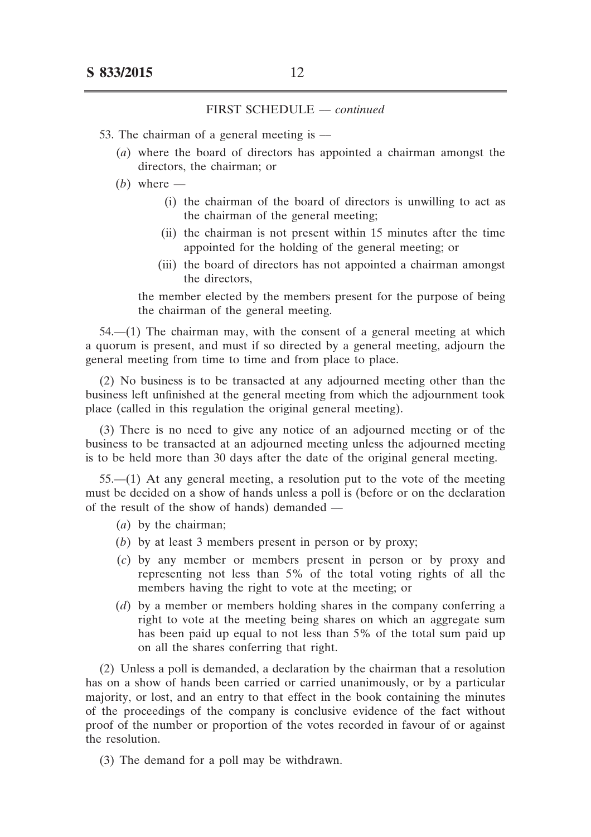- 53. The chairman of a general meeting is ––
	- (*a*) where the board of directors has appointed a chairman amongst the directors, the chairman; or
	- $(b)$  where
		- (i) the chairman of the board of directors is unwilling to act as the chairman of the general meeting;
		- (ii) the chairman is not present within 15 minutes after the time appointed for the holding of the general meeting; or
		- (iii) the board of directors has not appointed a chairman amongst the directors,

 the member elected by the members present for the purpose of being the chairman of the general meeting.

 $54$ — $(1)$  The chairman may, with the consent of a general meeting at which a quorum is present, and must if so directed by a general meeting, adjourn the general meeting from time to time and from place to place.

(2) No business is to be transacted at any adjourned meeting other than the business left unfinished at the general meeting from which the adjournment took place (called in this regulation the original general meeting).

(3) There is no need to give any notice of an adjourned meeting or of the business to be transacted at an adjourned meeting unless the adjourned meeting is to be held more than 30 days after the date of the original general meeting.

55.––(1) At any general meeting, a resolution put to the vote of the meeting must be decided on a show of hands unless a poll is (before or on the declaration of the result of the show of hands) demanded ––

- (*a*) by the chairman;
- (*b*) by at least 3 members present in person or by proxy;
- (*c*) by any member or members present in person or by proxy and representing not less than 5% of the total voting rights of all the members having the right to vote at the meeting; or
- (*d*) by a member or members holding shares in the company conferring a right to vote at the meeting being shares on which an aggregate sum has been paid up equal to not less than 5% of the total sum paid up on all the shares conferring that right.

(2) Unless a poll is demanded, a declaration by the chairman that a resolution has on a show of hands been carried or carried unanimously, or by a particular majority, or lost, and an entry to that effect in the book containing the minutes of the proceedings of the company is conclusive evidence of the fact without proof of the number or proportion of the votes recorded in favour of or against the resolution.

(3) The demand for a poll may be withdrawn.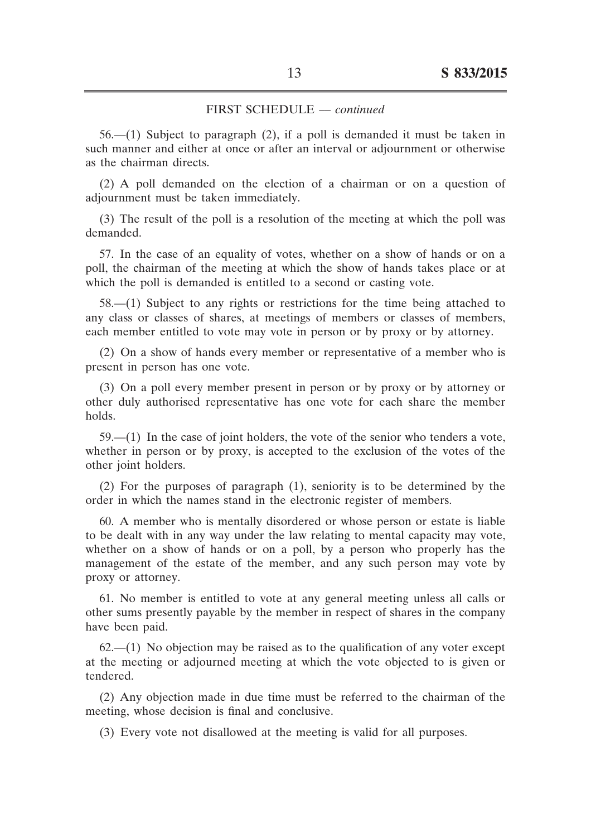56.––(1) Subject to paragraph (2), if a poll is demanded it must be taken in such manner and either at once or after an interval or adjournment or otherwise as the chairman directs.

(2) A poll demanded on the election of a chairman or on a question of adjournment must be taken immediately.

(3) The result of the poll is a resolution of the meeting at which the poll was demanded.

57. In the case of an equality of votes, whether on a show of hands or on a poll, the chairman of the meeting at which the show of hands takes place or at which the poll is demanded is entitled to a second or casting vote.

58.––(1) Subject to any rights or restrictions for the time being attached to any class or classes of shares, at meetings of members or classes of members, each member entitled to vote may vote in person or by proxy or by attorney.

(2) On a show of hands every member or representative of a member who is present in person has one vote.

(3) On a poll every member present in person or by proxy or by attorney or other duly authorised representative has one vote for each share the member holds.

59.––(1) In the case of joint holders, the vote of the senior who tenders a vote, whether in person or by proxy, is accepted to the exclusion of the votes of the other joint holders.

(2) For the purposes of paragraph (1), seniority is to be determined by the order in which the names stand in the electronic register of members.

60. A member who is mentally disordered or whose person or estate is liable to be dealt with in any way under the law relating to mental capacity may vote, whether on a show of hands or on a poll, by a person who properly has the management of the estate of the member, and any such person may vote by proxy or attorney.

61. No member is entitled to vote at any general meeting unless all calls or other sums presently payable by the member in respect of shares in the company have been paid.

 $62$ — $(1)$  No objection may be raised as to the qualification of any voter except at the meeting or adjourned meeting at which the vote objected to is given or tendered.

(2) Any objection made in due time must be referred to the chairman of the meeting, whose decision is final and conclusive.

(3) Every vote not disallowed at the meeting is valid for all purposes.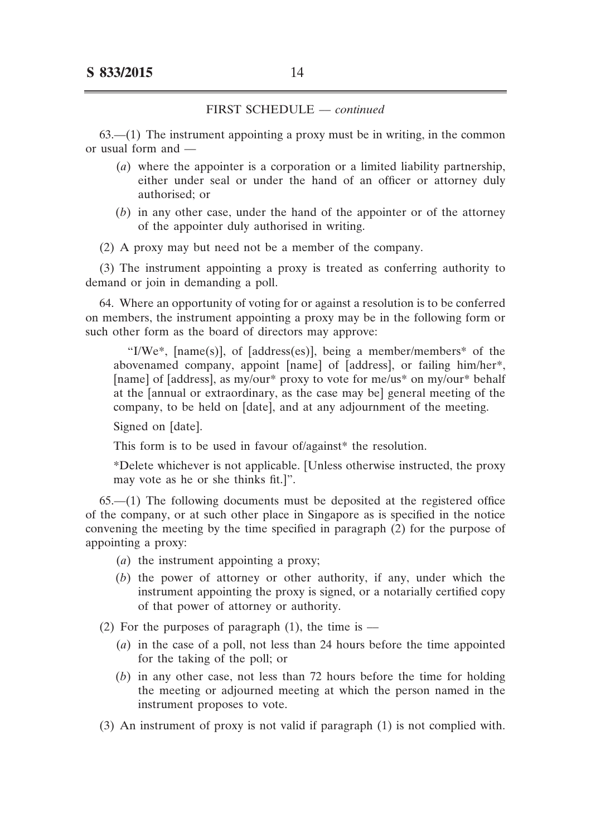$63$ — $(1)$  The instrument appointing a proxy must be in writing, in the common or usual form and ––

- (*a*) where the appointer is a corporation or a limited liability partnership, either under seal or under the hand of an officer or attorney duly authorised; or
- $(b)$  in any other case, under the hand of the appointer or of the attorney of the appointer duly authorised in writing.
- (2) A proxy may but need not be a member of the company.

(3) The instrument appointing a proxy is treated as conferring authority to demand or join in demanding a poll.

64. Where an opportunity of voting for or against a resolution is to be conferred on members, the instrument appointing a proxy may be in the following form or such other form as the board of directors may approve:

"I/We\*, [name(s)], of [address(es)], being a member/members\* of the abovenamed company, appoint [name] of [address], or failing him/her\*, [name] of [address], as my/our\* proxy to vote for me/us\* on my/our\* behalf at the [annual or extraordinary, as the case may be] general meeting of the company, to be held on [date], and at any adjournment of the meeting.

Signed on [date].

This form is to be used in favour of/against\* the resolution.

\*Delete whichever is not applicable. [Unless otherwise instructed, the proxy may vote as he or she thinks fit.]".

65.––(1) The following documents must be deposited at the registered office of the company, or at such other place in Singapore as is specified in the notice convening the meeting by the time specified in paragraph (2) for the purpose of appointing a proxy:

- (*a*) the instrument appointing a proxy;
- (*b*) the power of attorney or other authority, if any, under which the instrument appointing the proxy is signed, or a notarially certified copy of that power of attorney or authority.

(2) For the purposes of paragraph  $(1)$ , the time is —

- (*a*) in the case of a poll, not less than 24 hours before the time appointed for the taking of the poll; or
- (*b*) in any other case, not less than 72 hours before the time for holding the meeting or adjourned meeting at which the person named in the instrument proposes to vote.
- (3) An instrument of proxy is not valid if paragraph (1) is not complied with.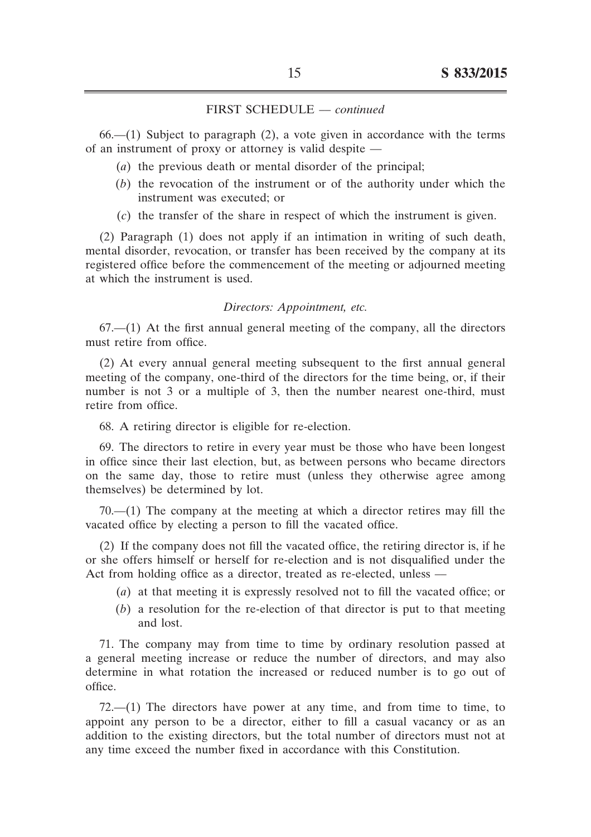$66- (1)$  Subject to paragraph  $(2)$ , a vote given in accordance with the terms of an instrument of proxy or attorney is valid despite ––

- (*a*) the previous death or mental disorder of the principal;
- (*b*) the revocation of the instrument or of the authority under which the instrument was executed; or
- (*c*) the transfer of the share in respect of which the instrument is given.

(2) Paragraph (1) does not apply if an intimation in writing of such death, mental disorder, revocation, or transfer has been received by the company at its registered office before the commencement of the meeting or adjourned meeting at which the instrument is used.

#### *Directors: Appointment, etc.*

 $67$ — $(1)$  At the first annual general meeting of the company, all the directors must retire from office.

(2) At every annual general meeting subsequent to the first annual general meeting of the company, one-third of the directors for the time being, or, if their number is not 3 or a multiple of 3, then the number nearest one-third, must retire from office.

68. A retiring director is eligible for re-election.

69. The directors to retire in every year must be those who have been longest in office since their last election, but, as between persons who became directors on the same day, those to retire must (unless they otherwise agree among themselves) be determined by lot.

 $70$ — $(1)$  The company at the meeting at which a director retires may fill the vacated office by electing a person to fill the vacated office.

(2) If the company does not fill the vacated office, the retiring director is, if he or she offers himself or herself for re-election and is not disqualified under the Act from holding office as a director, treated as re-elected, unless --

- (*a*) at that meeting it is expressly resolved not to fill the vacated office; or
- $(b)$  a resolution for the re-election of that director is put to that meeting and lost.

71. The company may from time to time by ordinary resolution passed at a general meeting increase or reduce the number of directors, and may also determine in what rotation the increased or reduced number is to go out of office.

 $72$ — $(1)$  The directors have power at any time, and from time to time, to appoint any person to be a director, either to fill a casual vacancy or as an addition to the existing directors, but the total number of directors must not at any time exceed the number fixed in accordance with this Constitution.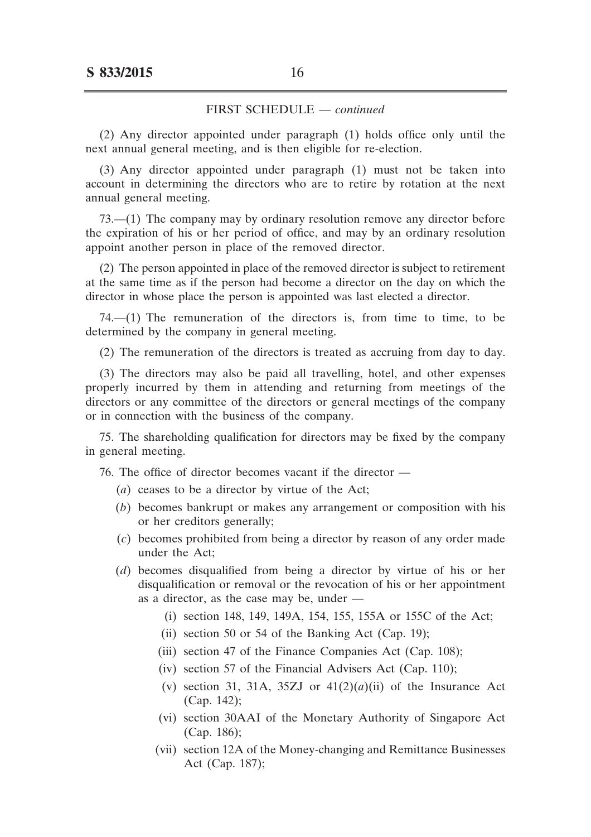(2) Any director appointed under paragraph (1) holds office only until the next annual general meeting, and is then eligible for re-election.

(3) Any director appointed under paragraph (1) must not be taken into account in determining the directors who are to retire by rotation at the next annual general meeting.

73.––(1) The company may by ordinary resolution remove any director before the expiration of his or her period of office, and may by an ordinary resolution appoint another person in place of the removed director.

(2) The person appointed in place of the removed director is subject to retirement at the same time as if the person had become a director on the day on which the director in whose place the person is appointed was last elected a director.

 $74$ — $(1)$  The remuneration of the directors is, from time to time, to be determined by the company in general meeting.

(2) The remuneration of the directors is treated as accruing from day to day.

(3) The directors may also be paid all travelling, hotel, and other expenses properly incurred by them in attending and returning from meetings of the directors or any committee of the directors or general meetings of the company or in connection with the business of the company.

75. The shareholding qualification for directors may be fixed by the company in general meeting.

76. The office of director becomes vacant if the director ––

- (*a*) ceases to be a director by virtue of the Act;
- (*b*) becomes bankrupt or makes any arrangement or composition with his or her creditors generally;
- (*c*) becomes prohibited from being a director by reason of any order made under the Act;
- (*d*) becomes disqualified from being a director by virtue of his or her disqualification or removal or the revocation of his or her appointment as a director, as the case may be, under ––
	- (i) section 148, 149, 149A, 154, 155, 155A or 155C of the Act;
	- (ii) section 50 or 54 of the Banking Act (Cap. 19);
	- (iii) section 47 of the Finance Companies Act (Cap. 108);
	- (iv) section 57 of the Financial Advisers Act (Cap. 110);
	- (v) section 31, 31A, 35ZJ or  $41(2)(a)(ii)$  of the Insurance Act (Cap. 142);
	- (vi) section 30AAI of the Monetary Authority of Singapore Act (Cap. 186);
	- (vii) section 12A of the Money-changing and Remittance Businesses Act (Cap. 187);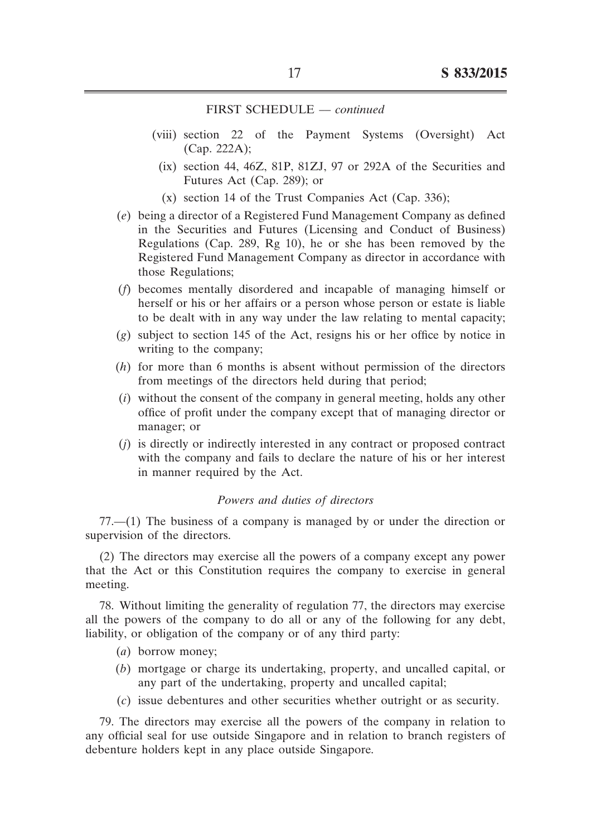- (viii) section 22 of the Payment Systems (Oversight) Act (Cap. 222A);
	- $(ix)$  section 44, 46Z, 81P, 81ZJ, 97 or 292A of the Securities and Futures Act (Cap. 289); or
	- $(x)$  section 14 of the Trust Companies Act (Cap. 336);
- (*e*) being a director of a Registered Fund Management Company as defined in the Securities and Futures (Licensing and Conduct of Business) Regulations (Cap. 289, Rg 10), he or she has been removed by the Registered Fund Management Company as director in accordance with those Regulations;
- (*f*) becomes mentally disordered and incapable of managing himself or herself or his or her affairs or a person whose person or estate is liable to be dealt with in any way under the law relating to mental capacity;
- (*g*) subject to section 145 of the Act, resigns his or her office by notice in writing to the company;
- $(h)$  for more than 6 months is absent without permission of the directors from meetings of the directors held during that period;
- $(i)$  without the consent of the company in general meeting, holds any other office of profit under the company except that of managing director or manager; or
- (*j*) is directly or indirectly interested in any contract or proposed contract with the company and fails to declare the nature of his or her interest in manner required by the Act.

## *Powers and duties of directors*

77.––(1) The business of a company is managed by or under the direction or supervision of the directors.

(2) The directors may exercise all the powers of a company except any power that the Act or this Constitution requires the company to exercise in general meeting.

78. Without limiting the generality of regulation 77, the directors may exercise all the powers of the company to do all or any of the following for any debt, liability, or obligation of the company or of any third party:

- (*a*) borrow money;
- (*b*) mortgage or charge its undertaking, property, and uncalled capital, or any part of the undertaking, property and uncalled capital;
- (*c*) issue debentures and other securities whether outright or as security.

79. The directors may exercise all the powers of the company in relation to any official seal for use outside Singapore and in relation to branch registers of debenture holders kept in any place outside Singapore.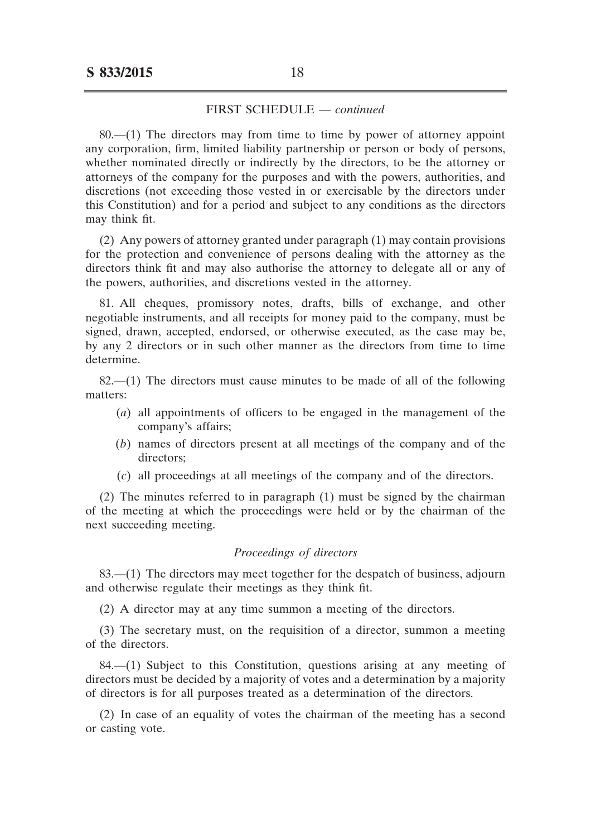80.––(1) The directors may from time to time by power of attorney appoint any corporation, firm, limited liability partnership or person or body of persons, whether nominated directly or indirectly by the directors, to be the attorney or attorneys of the company for the purposes and with the powers, authorities, and discretions (not exceeding those vested in or exercisable by the directors under this Constitution) and for a period and subject to any conditions as the directors may think fit.

(2) Any powers of attorney granted under paragraph (1) may contain provisions for the protection and convenience of persons dealing with the attorney as the directors think fit and may also authorise the attorney to delegate all or any of the powers, authorities, and discretions vested in the attorney.

81. All cheques, promissory notes, drafts, bills of exchange, and other negotiable instruments, and all receipts for money paid to the company, must be signed, drawn, accepted, endorsed, or otherwise executed, as the case may be, by any 2 directors or in such other manner as the directors from time to time determine.

82.––(1) The directors must cause minutes to be made of all of the following matters:

- (*a*) all appointments of officers to be engaged in the management of the company's affairs;
- (*b*) names of directors present at all meetings of the company and of the directors;
- (*c*) all proceedings at all meetings of the company and of the directors.

(2) The minutes referred to in paragraph (1) must be signed by the chairman of the meeting at which the proceedings were held or by the chairman of the next succeeding meeting.

#### *Proceedings of directors*

83.––(1) The directors may meet together for the despatch of business, adjourn and otherwise regulate their meetings as they think fit.

(2) A director may at any time summon a meeting of the directors.

(3) The secretary must, on the requisition of a director, summon a meeting of the directors.

84.––(1) Subject to this Constitution, questions arising at any meeting of directors must be decided by a majority of votes and a determination by a majority of directors is for all purposes treated as a determination of the directors.

(2) In case of an equality of votes the chairman of the meeting has a second or casting vote.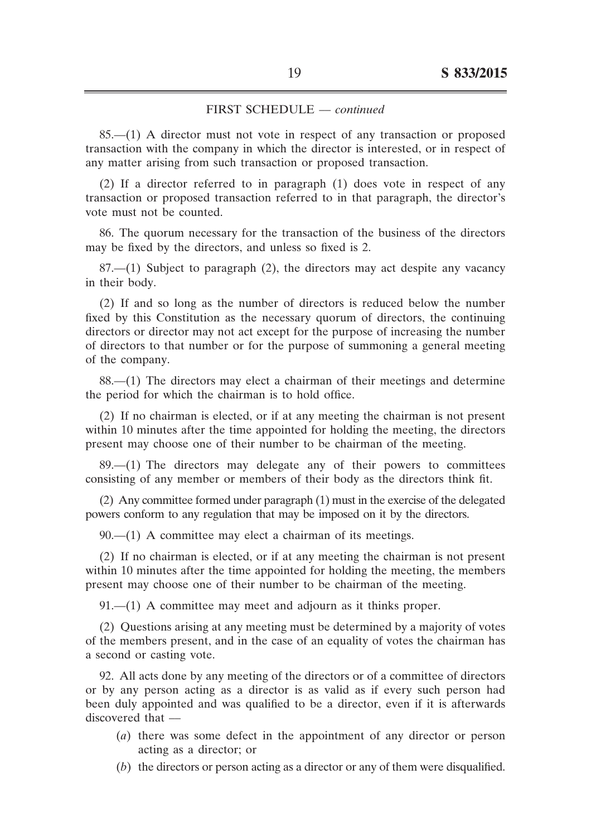85.––(1) A director must not vote in respect of any transaction or proposed transaction with the company in which the director is interested, or in respect of any matter arising from such transaction or proposed transaction.

(2) If a director referred to in paragraph (1) does vote in respect of any transaction or proposed transaction referred to in that paragraph, the director's vote must not be counted.

86. The quorum necessary for the transaction of the business of the directors may be fixed by the directors, and unless so fixed is 2.

87.––(1) Subject to paragraph (2), the directors may act despite any vacancy in their body.

(2) If and so long as the number of directors is reduced below the number fixed by this Constitution as the necessary quorum of directors, the continuing directors or director may not act except for the purpose of increasing the number of directors to that number or for the purpose of summoning a general meeting of the company.

88.––(1) The directors may elect a chairman of their meetings and determine the period for which the chairman is to hold office.

(2) If no chairman is elected, or if at any meeting the chairman is not present within 10 minutes after the time appointed for holding the meeting, the directors present may choose one of their number to be chairman of the meeting.

89.––(1) The directors may delegate any of their powers to committees consisting of any member or members of their body as the directors think fit.

(2) Any committee formed under paragraph (1) must in the exercise of the delegated powers conform to any regulation that may be imposed on it by the directors.

 $90$ — $(1)$  A committee may elect a chairman of its meetings.

(2) If no chairman is elected, or if at any meeting the chairman is not present within 10 minutes after the time appointed for holding the meeting, the members present may choose one of their number to be chairman of the meeting.

 $91- (1)$  A committee may meet and adjourn as it thinks proper.

(2) Questions arising at any meeting must be determined by a majority of votes of the members present, and in the case of an equality of votes the chairman has a second or casting vote.

92. All acts done by any meeting of the directors or of a committee of directors or by any person acting as a director is as valid as if every such person had been duly appointed and was qualified to be a director, even if it is afterwards discovered that  $-$ 

- (*a*) there was some defect in the appointment of any director or person acting as a director; or
- (*b*) the directors or person acting as a director or any of them were disqualified.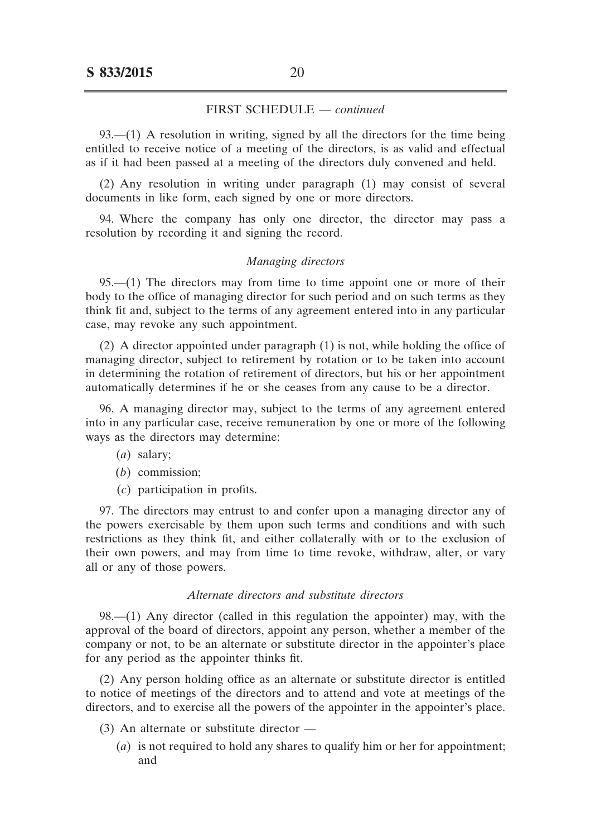93.—(1) A resolution in writing, signed by all the directors for the time being entitled to receive notice of a meeting of the directors, is as valid and effectual as if it had been passed at a meeting of the directors duly convened and held.

(2) Any resolution in writing under paragraph (1) may consist of several documents in like form, each signed by one or more directors.

94. Where the company has only one director, the director may pass a resolution by recording it and signing the record.

#### *Managing directors*

95.––(1) The directors may from time to time appoint one or more of their body to the office of managing director for such period and on such terms as they think fit and, subject to the terms of any agreement entered into in any particular case, may revoke any such appointment.

(2) A director appointed under paragraph (1) is not, while holding the office of managing director, subject to retirement by rotation or to be taken into account in determining the rotation of retirement of directors, but his or her appointment automatically determines if he or she ceases from any cause to be a director.

96. A managing director may, subject to the terms of any agreement entered into in any particular case, receive remuneration by one or more of the following ways as the directors may determine:

- (*a*) salary;
- (*b*) commission;
- (*c*) participation in profits.

97. The directors may entrust to and confer upon a managing director any of the powers exercisable by them upon such terms and conditions and with such restrictions as they think fit, and either collaterally with or to the exclusion of their own powers, and may from time to time revoke, withdraw, alter, or vary all or any of those powers.

#### *Alternate directors and substitute directors*

98.––(1) Any director (called in this regulation the appointer) may, with the approval of the board of directors, appoint any person, whether a member of the company or not, to be an alternate or substitute director in the appointer's place for any period as the appointer thinks fit.

(2) Any person holding office as an alternate or substitute director is entitled to notice of meetings of the directors and to attend and vote at meetings of the directors, and to exercise all the powers of the appointer in the appointer's place.

- (3) An alternate or substitute director ––
	- (*a*) is not required to hold any shares to qualify him or her for appointment; and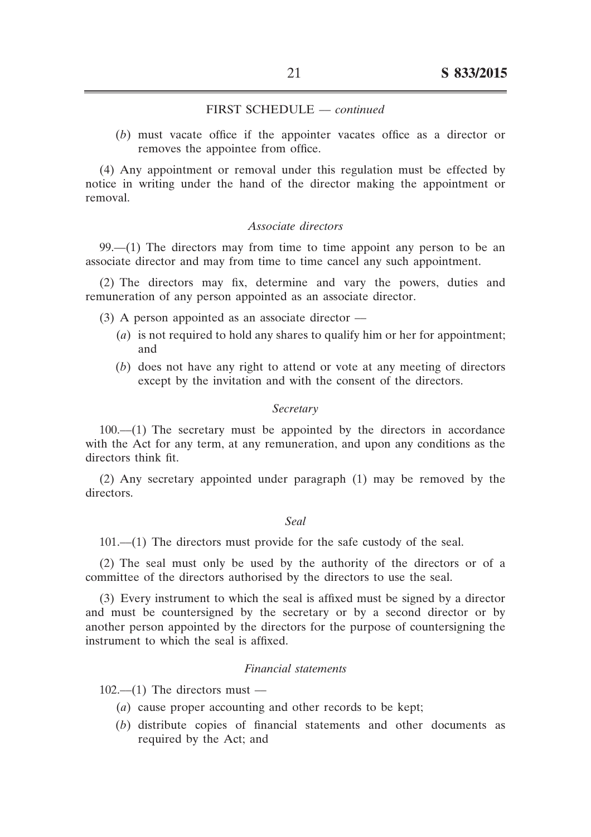(*b*) must vacate office if the appointer vacates office as a director or removes the appointee from office.

(4) Any appointment or removal under this regulation must be effected by notice in writing under the hand of the director making the appointment or removal.

#### *Associate directors*

99.––(1) The directors may from time to time appoint any person to be an associate director and may from time to time cancel any such appointment.

(2) The directors may fix, determine and vary the powers, duties and remuneration of any person appointed as an associate director.

- $(3)$  A person appointed as an associate director
	- (*a*) is not required to hold any shares to qualify him or her for appointment; and
	- (*b*) does not have any right to attend or vote at any meeting of directors except by the invitation and with the consent of the directors.

#### *Secretary*

 $100$ — $(1)$  The secretary must be appointed by the directors in accordance with the Act for any term, at any remuneration, and upon any conditions as the directors think fit.

(2) Any secretary appointed under paragraph (1) may be removed by the directors.

#### *Seal*

101.––(1) The directors must provide for the safe custody of the seal.

(2) The seal must only be used by the authority of the directors or of a committee of the directors authorised by the directors to use the seal.

(3) Every instrument to which the seal is affixed must be signed by a director and must be countersigned by the secretary or by a second director or by another person appointed by the directors for the purpose of countersigning the instrument to which the seal is affixed.

### *Financial statements*

 $102$ — $(1)$  The directors must —

- (*a*) cause proper accounting and other records to be kept;
- (*b*) distribute copies of financial statements and other documents as required by the Act; and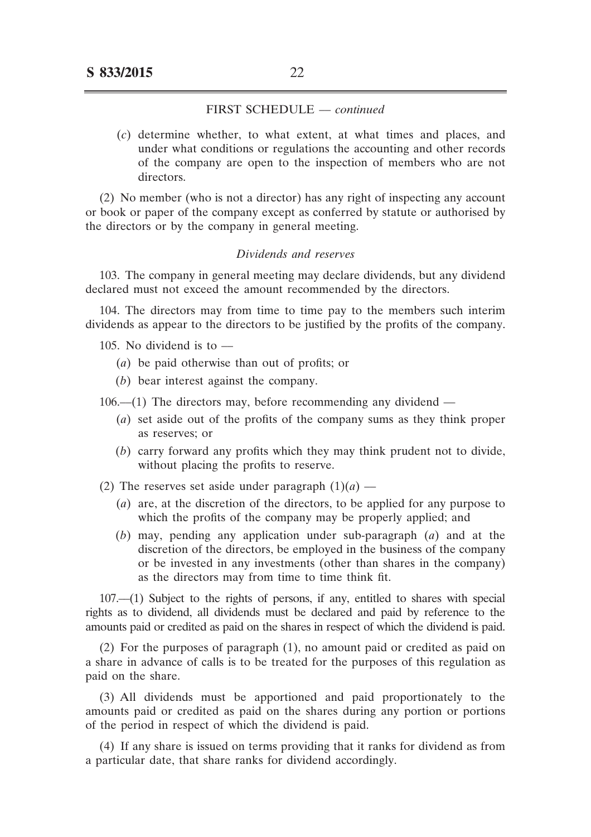(*c*) determine whether, to what extent, at what times and places, and under what conditions or regulations the accounting and other records of the company are open to the inspection of members who are not directors.

(2) No member (who is not a director) has any right of inspecting any account or book or paper of the company except as conferred by statute or authorised by the directors or by the company in general meeting.

#### *Dividends and reserves*

103. The company in general meeting may declare dividends, but any dividend declared must not exceed the amount recommended by the directors.

104. The directors may from time to time pay to the members such interim dividends as appear to the directors to be justified by the profits of the company.

105. No dividend is to  $-$ 

- (*a*) be paid otherwise than out of profits; or
- (*b*) bear interest against the company.

 $106- (1)$  The directors may, before recommending any dividend  $-$ 

- (*a*) set aside out of the profits of the company sums as they think proper as reserves; or
- (*b*) carry forward any profits which they may think prudent not to divide, without placing the profits to reserve.

(2) The reserves set aside under paragraph  $(1)(a)$  —

- (*a*) are, at the discretion of the directors, to be applied for any purpose to which the profits of the company may be properly applied; and
- (*b*) may, pending any application under sub-paragraph (*a*) and at the discretion of the directors, be employed in the business of the company or be invested in any investments (other than shares in the company) as the directors may from time to time think fit.

107.––(1) Subject to the rights of persons, if any, entitled to shares with special rights as to dividend, all dividends must be declared and paid by reference to the amounts paid or credited as paid on the shares in respect of which the dividend is paid.

(2) For the purposes of paragraph (1), no amount paid or credited as paid on a share in advance of calls is to be treated for the purposes of this regulation as paid on the share.

(3) All dividends must be apportioned and paid proportionately to the amounts paid or credited as paid on the shares during any portion or portions of the period in respect of which the dividend is paid.

(4) If any share is issued on terms providing that it ranks for dividend as from a particular date, that share ranks for dividend accordingly.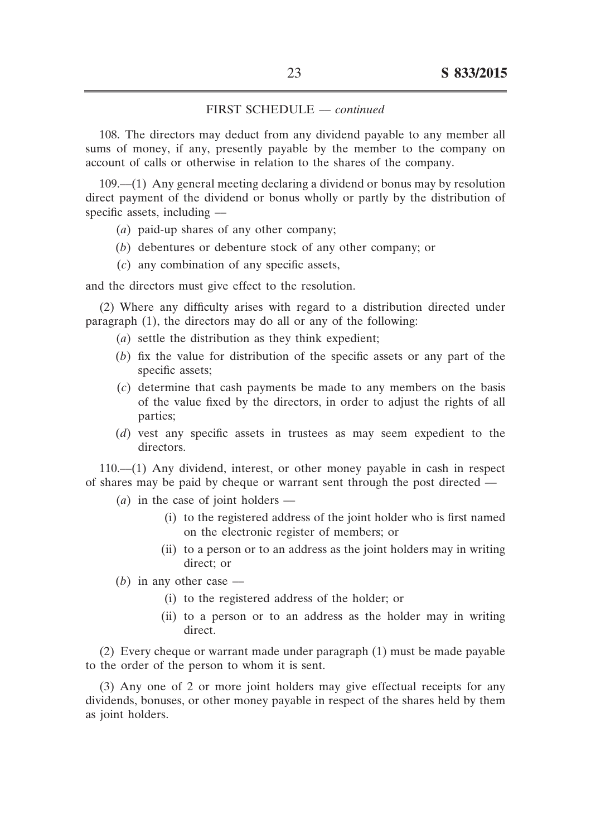108. The directors may deduct from any dividend payable to any member all sums of money, if any, presently payable by the member to the company on account of calls or otherwise in relation to the shares of the company.

 $109$ — $(1)$  Any general meeting declaring a dividend or bonus may by resolution direct payment of the dividend or bonus wholly or partly by the distribution of specific assets, including  $-$ 

- (*a*) paid-up shares of any other company;
- (*b*) debentures or debenture stock of any other company; or
- (*c*) any combination of any specific assets,

and the directors must give effect to the resolution.

(2) Where any difficulty arises with regard to a distribution directed under paragraph (1), the directors may do all or any of the following:

- (*a*) settle the distribution as they think expedient;
- (*b*) fix the value for distribution of the specific assets or any part of the specific assets;
- (*c*) determine that cash payments be made to any members on the basis of the value fixed by the directors, in order to adjust the rights of all parties;
- (*d*) vest any specific assets in trustees as may seem expedient to the directors.

110.––(1) Any dividend, interest, or other money payable in cash in respect of shares may be paid by cheque or warrant sent through the post directed ––

- $(a)$  in the case of joint holders ––
	- (i) to the registered address of the joint holder who is first named on the electronic register of members; or
	- (ii) to a person or to an address as the joint holders may in writing direct; or

 $(b)$  in any other case –

- (i) to the registered address of the holder; or
- (ii) to a person or to an address as the holder may in writing direct.

(2) Every cheque or warrant made under paragraph (1) must be made payable to the order of the person to whom it is sent.

(3) Any one of 2 or more joint holders may give effectual receipts for any dividends, bonuses, or other money payable in respect of the shares held by them as joint holders.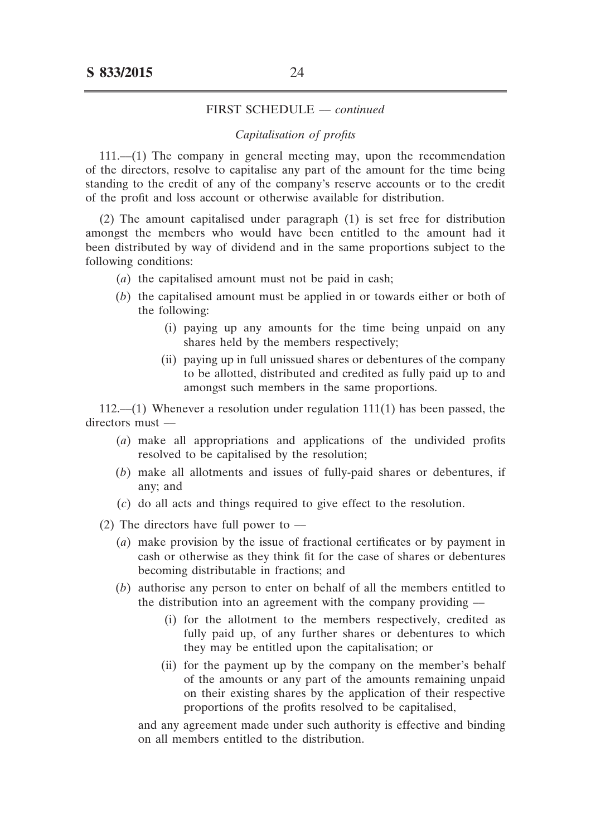#### *Capitalisation of profits*

111.––(1) The company in general meeting may, upon the recommendation of the directors, resolve to capitalise any part of the amount for the time being standing to the credit of any of the company's reserve accounts or to the credit of the profit and loss account or otherwise available for distribution.

(2) The amount capitalised under paragraph (1) is set free for distribution amongst the members who would have been entitled to the amount had it been distributed by way of dividend and in the same proportions subject to the following conditions:

- (*a*) the capitalised amount must not be paid in cash;
- (*b*) the capitalised amount must be applied in or towards either or both of the following:
	- (i) paying up any amounts for the time being unpaid on any shares held by the members respectively;
	- (ii) paying up in full unissued shares or debentures of the company to be allotted, distributed and credited as fully paid up to and amongst such members in the same proportions.

 $112$ ,—(1) Whenever a resolution under regulation  $111(1)$  has been passed, the directors must -

- (*a*) make all appropriations and applications of the undivided profits resolved to be capitalised by the resolution;
- (*b*) make all allotments and issues of fully-paid shares or debentures, if any; and
- (*c*) do all acts and things required to give effect to the resolution.

(2) The directors have full power to  $-$ 

- (*a*) make provision by the issue of fractional certificates or by payment in cash or otherwise as they think fit for the case of shares or debentures becoming distributable in fractions; and
- (*b*) authorise any person to enter on behalf of all the members entitled to the distribution into an agreement with the company providing ––
	- (i) for the allotment to the members respectively, credited as fully paid up, of any further shares or debentures to which they may be entitled upon the capitalisation; or
	- (ii) for the payment up by the company on the member's behalf of the amounts or any part of the amounts remaining unpaid on their existing shares by the application of their respective proportions of the profits resolved to be capitalised,

 and any agreement made under such authority is effective and binding on all members entitled to the distribution.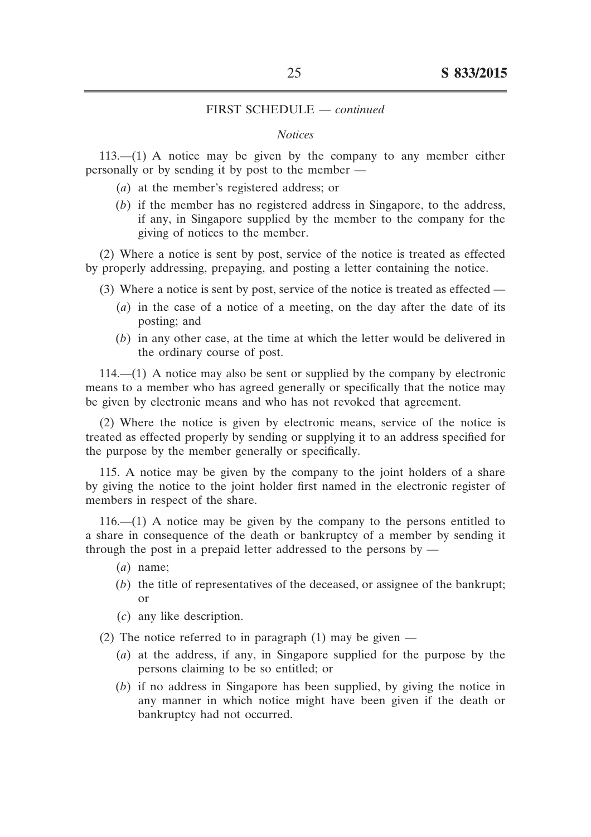#### *Notices*

 $113$ — $(1)$  A notice may be given by the company to any member either personally or by sending it by post to the member ––

- (*a*) at the member's registered address; or
- $(b)$  if the member has no registered address in Singapore, to the address, if any, in Singapore supplied by the member to the company for the giving of notices to the member.

(2) Where a notice is sent by post, service of the notice is treated as effected by properly addressing, prepaying, and posting a letter containing the notice.

- (3) Where a notice is sent by post, service of the notice is treated as effected ––
	- (*a*) in the case of a notice of a meeting, on the day after the date of its posting; and
	- (*b*) in any other case, at the time at which the letter would be delivered in the ordinary course of post.

 $114$ — $(1)$  A notice may also be sent or supplied by the company by electronic means to a member who has agreed generally or specifically that the notice may be given by electronic means and who has not revoked that agreement.

(2) Where the notice is given by electronic means, service of the notice is treated as effected properly by sending or supplying it to an address specified for the purpose by the member generally or specifically.

115. A notice may be given by the company to the joint holders of a share by giving the notice to the joint holder first named in the electronic register of members in respect of the share.

 $116$ — $(1)$  A notice may be given by the company to the persons entitled to a share in consequence of the death or bankruptcy of a member by sending it through the post in a prepaid letter addressed to the persons by  $-$ 

- $(a)$  name;
- (*b*) the title of representatives of the deceased, or assignee of the bankrupt; or
- (*c*) any like description.
- (2) The notice referred to in paragraph  $(1)$  may be given
	- (*a*) at the address, if any, in Singapore supplied for the purpose by the persons claiming to be so entitled; or
	- (*b*) if no address in Singapore has been supplied, by giving the notice in any manner in which notice might have been given if the death or bankruptcy had not occurred.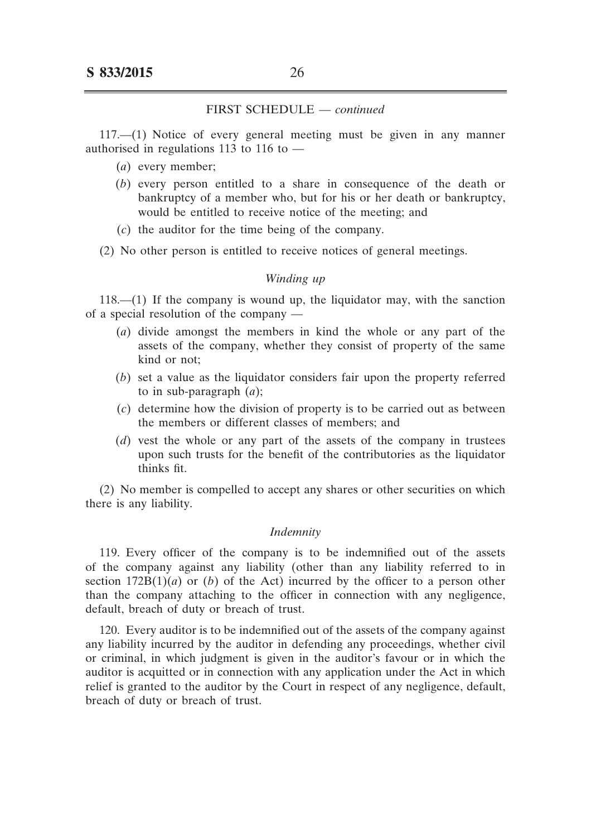117.––(1) Notice of every general meeting must be given in any manner authorised in regulations 113 to 116 to  $-$ 

- (*a*) every member;
- (*b*) every person entitled to a share in consequence of the death or bankruptcy of a member who, but for his or her death or bankruptcy, would be entitled to receive notice of the meeting; and
- (*c*) the auditor for the time being of the company.

(2) No other person is entitled to receive notices of general meetings.

#### *Winding up*

 $118$ — $(1)$  If the company is wound up, the liquidator may, with the sanction of a special resolution of the company ––

- (*a*) divide amongst the members in kind the whole or any part of the assets of the company, whether they consist of property of the same kind or not;
- (*b*) set a value as the liquidator considers fair upon the property referred to in sub-paragraph (*a*);
- (*c*) determine how the division of property is to be carried out as between the members or different classes of members; and
- (*d*) vest the whole or any part of the assets of the company in trustees upon such trusts for the benefit of the contributories as the liquidator thinks fit.

(2) No member is compelled to accept any shares or other securities on which there is any liability.

#### *Indemnity*

119. Every officer of the company is to be indemnified out of the assets of the company against any liability (other than any liability referred to in section  $172B(1)(a)$  or (*b*) of the Act) incurred by the officer to a person other than the company attaching to the officer in connection with any negligence, default, breach of duty or breach of trust.

120. Every auditor is to be indemnified out of the assets of the company against any liability incurred by the auditor in defending any proceedings, whether civil or criminal, in which judgment is given in the auditor's favour or in which the auditor is acquitted or in connection with any application under the Act in which relief is granted to the auditor by the Court in respect of any negligence, default, breach of duty or breach of trust.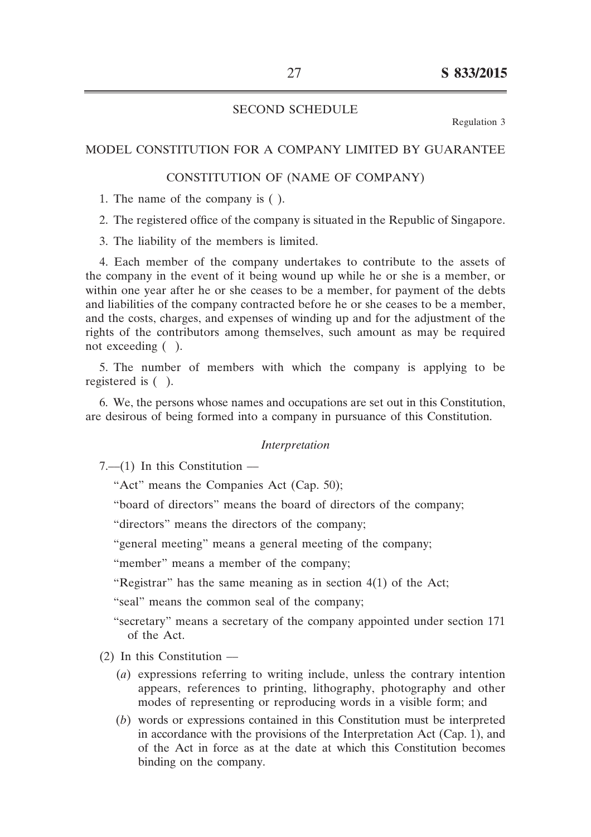## SECOND SCHEDULE

Regulation 3

### MODEL CONSTITUTION FOR A COMPANY LIMITED BY GUARANTEE

## CONSTITUTION OF (NAME OF COMPANY)

1. The name of the company is ( ).

2. The registered office of the company is situated in the Republic of Singapore.

3. The liability of the members is limited.

4. Each member of the company undertakes to contribute to the assets of the company in the event of it being wound up while he or she is a member, or within one year after he or she ceases to be a member, for payment of the debts and liabilities of the company contracted before he or she ceases to be a member, and the costs, charges, and expenses of winding up and for the adjustment of the rights of the contributors among themselves, such amount as may be required not exceeding ( ).

5. The number of members with which the company is applying to be registered is ( ).

6. We, the persons whose names and occupations are set out in this Constitution, are desirous of being formed into a company in pursuance of this Constitution.

#### *Interpretation*

 $7-$ (1) In this Constitution –

"Act" means the Companies Act (Cap. 50);

"board of directors" means the board of directors of the company;

"directors" means the directors of the company;

"general meeting" means a general meeting of the company;

"member" means a member of the company;

"Registrar" has the same meaning as in section 4(1) of the Act;

"seal" means the common seal of the company;

- "secretary" means a secretary of the company appointed under section 171 of the Act.
- $(2)$  In this Constitution  $-$ 
	- (*a*) expressions referring to writing include, unless the contrary intention appears, references to printing, lithography, photography and other modes of representing or reproducing words in a visible form; and
	- (*b*) words or expressions contained in this Constitution must be interpreted in accordance with the provisions of the Interpretation Act (Cap. 1), and of the Act in force as at the date at which this Constitution becomes binding on the company.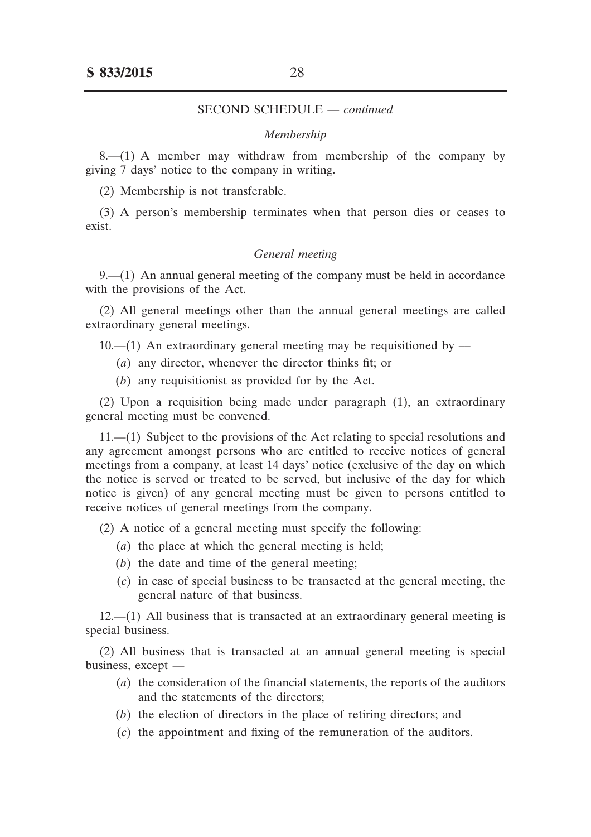#### *Membership*

 $8-(1)$  A member may withdraw from membership of the company by giving 7 days' notice to the company in writing.

(2) Membership is not transferable.

(3) A person's membership terminates when that person dies or ceases to exist.

#### *General meeting*

9.— $(1)$  An annual general meeting of the company must be held in accordance with the provisions of the Act.

(2) All general meetings other than the annual general meetings are called extraordinary general meetings.

 $10$ ,— $(1)$  An extraordinary general meeting may be requisitioned by —

- (*a*) any director, whenever the director thinks fit; or
- (*b*) any requisitionist as provided for by the Act.

(2) Upon a requisition being made under paragraph (1), an extraordinary general meeting must be convened.

11.––(1) Subject to the provisions of the Act relating to special resolutions and any agreement amongst persons who are entitled to receive notices of general meetings from a company, at least 14 days' notice (exclusive of the day on which the notice is served or treated to be served, but inclusive of the day for which notice is given) of any general meeting must be given to persons entitled to receive notices of general meetings from the company.

(2) A notice of a general meeting must specify the following:

- (*a*) the place at which the general meeting is held;
- $(b)$  the date and time of the general meeting;
- (*c*) in case of special business to be transacted at the general meeting, the general nature of that business.

12.––(1) All business that is transacted at an extraordinary general meeting is special business.

(2) All business that is transacted at an annual general meeting is special business, except ––

- (*a*) the consideration of the financial statements, the reports of the auditors and the statements of the directors;
- (*b*) the election of directors in the place of retiring directors; and
- (*c*) the appointment and fixing of the remuneration of the auditors.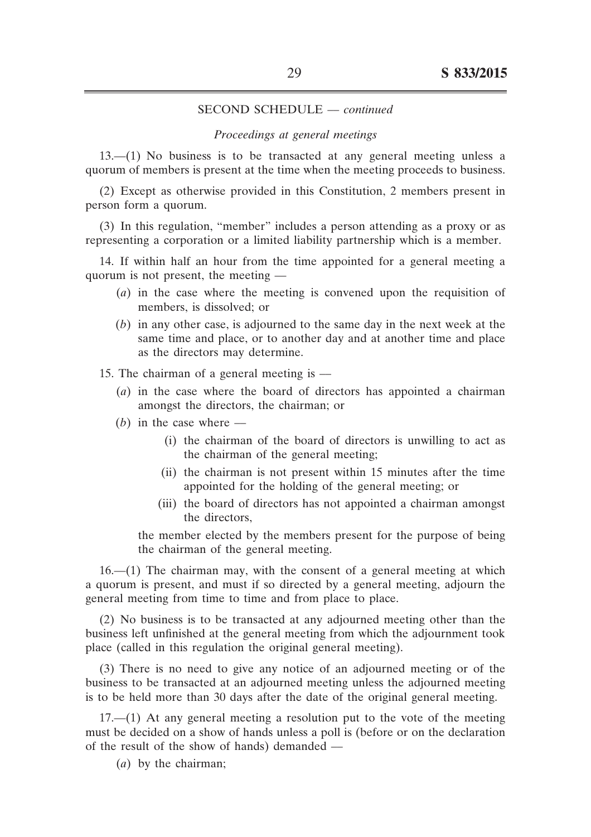#### *Proceedings at general meetings*

13.––(1) No business is to be transacted at any general meeting unless a quorum of members is present at the time when the meeting proceeds to business.

(2) Except as otherwise provided in this Constitution, 2 members present in person form a quorum.

(3) In this regulation, "member" includes a person attending as a proxy or as representing a corporation or a limited liability partnership which is a member.

14. If within half an hour from the time appointed for a general meeting a quorum is not present, the meeting ––

- (*a*) in the case where the meeting is convened upon the requisition of members, is dissolved; or
- (b) in any other case, is adjourned to the same day in the next week at the same time and place, or to another day and at another time and place as the directors may determine.

15. The chairman of a general meeting is —

- (*a*) in the case where the board of directors has appointed a chairman amongst the directors, the chairman; or
- $(b)$  in the case where  $-$ 
	- (i) the chairman of the board of directors is unwilling to act as the chairman of the general meeting;
	- (ii) the chairman is not present within 15 minutes after the time appointed for the holding of the general meeting; or
	- (iii) the board of directors has not appointed a chairman amongst the directors,

 the member elected by the members present for the purpose of being the chairman of the general meeting.

 $16$ — $(1)$  The chairman may, with the consent of a general meeting at which a quorum is present, and must if so directed by a general meeting, adjourn the general meeting from time to time and from place to place.

(2) No business is to be transacted at any adjourned meeting other than the business left unfinished at the general meeting from which the adjournment took place (called in this regulation the original general meeting).

(3) There is no need to give any notice of an adjourned meeting or of the business to be transacted at an adjourned meeting unless the adjourned meeting is to be held more than 30 days after the date of the original general meeting.

17.––(1) At any general meeting a resolution put to the vote of the meeting must be decided on a show of hands unless a poll is (before or on the declaration of the result of the show of hands) demanded ––

 (*a*) by the chairman;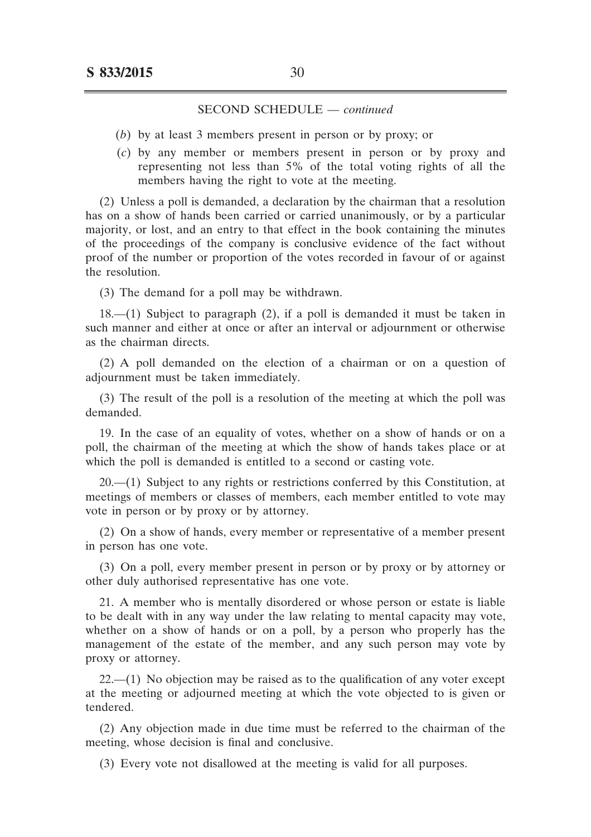- (*b*) by at least 3 members present in person or by proxy; or
- (*c*) by any member or members present in person or by proxy and representing not less than 5% of the total voting rights of all the members having the right to vote at the meeting.

(2) Unless a poll is demanded, a declaration by the chairman that a resolution has on a show of hands been carried or carried unanimously, or by a particular majority, or lost, and an entry to that effect in the book containing the minutes of the proceedings of the company is conclusive evidence of the fact without proof of the number or proportion of the votes recorded in favour of or against the resolution.

(3) The demand for a poll may be withdrawn.

18.––(1) Subject to paragraph (2), if a poll is demanded it must be taken in such manner and either at once or after an interval or adjournment or otherwise as the chairman directs.

(2) A poll demanded on the election of a chairman or on a question of adjournment must be taken immediately.

(3) The result of the poll is a resolution of the meeting at which the poll was demanded.

19. In the case of an equality of votes, whether on a show of hands or on a poll, the chairman of the meeting at which the show of hands takes place or at which the poll is demanded is entitled to a second or casting vote.

20.––(1) Subject to any rights or restrictions conferred by this Constitution, at meetings of members or classes of members, each member entitled to vote may vote in person or by proxy or by attorney.

(2) On a show of hands, every member or representative of a member present in person has one vote.

(3) On a poll, every member present in person or by proxy or by attorney or other duly authorised representative has one vote.

21. A member who is mentally disordered or whose person or estate is liable to be dealt with in any way under the law relating to mental capacity may vote, whether on a show of hands or on a poll, by a person who properly has the management of the estate of the member, and any such person may vote by proxy or attorney.

 $22$ — $(1)$  No objection may be raised as to the qualification of any voter except at the meeting or adjourned meeting at which the vote objected to is given or tendered.

(2) Any objection made in due time must be referred to the chairman of the meeting, whose decision is final and conclusive.

(3) Every vote not disallowed at the meeting is valid for all purposes.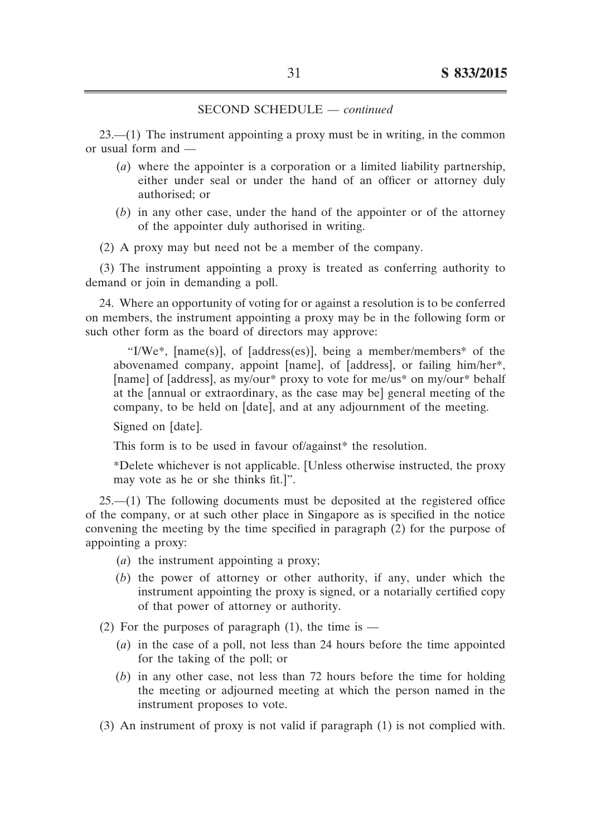23.––(1) The instrument appointing a proxy must be in writing, in the common or usual form and ––

- (*a*) where the appointer is a corporation or a limited liability partnership, either under seal or under the hand of an officer or attorney duly authorised; or
- $(b)$  in any other case, under the hand of the appointer or of the attorney of the appointer duly authorised in writing.
- (2) A proxy may but need not be a member of the company.

(3) The instrument appointing a proxy is treated as conferring authority to demand or join in demanding a poll.

24. Where an opportunity of voting for or against a resolution is to be conferred on members, the instrument appointing a proxy may be in the following form or such other form as the board of directors may approve:

"I/We\*, [name(s)], of [address(es)], being a member/members\* of the abovenamed company, appoint [name], of [address], or failing him/her\*, [name] of [address], as my/our\* proxy to vote for me/us\* on my/our\* behalf at the [annual or extraordinary, as the case may be] general meeting of the company, to be held on [date], and at any adjournment of the meeting.

Signed on [date].

This form is to be used in favour of/against\* the resolution.

\*Delete whichever is not applicable. [Unless otherwise instructed, the proxy may vote as he or she thinks fit.]".

25.––(1) The following documents must be deposited at the registered office of the company, or at such other place in Singapore as is specified in the notice convening the meeting by the time specified in paragraph (2) for the purpose of appointing a proxy:

- (*a*) the instrument appointing a proxy;
- (*b*) the power of attorney or other authority, if any, under which the instrument appointing the proxy is signed, or a notarially certified copy of that power of attorney or authority.

(2) For the purposes of paragraph  $(1)$ , the time is —

- (*a*) in the case of a poll, not less than 24 hours before the time appointed for the taking of the poll; or
- (*b*) in any other case, not less than 72 hours before the time for holding the meeting or adjourned meeting at which the person named in the instrument proposes to vote.
- (3) An instrument of proxy is not valid if paragraph (1) is not complied with.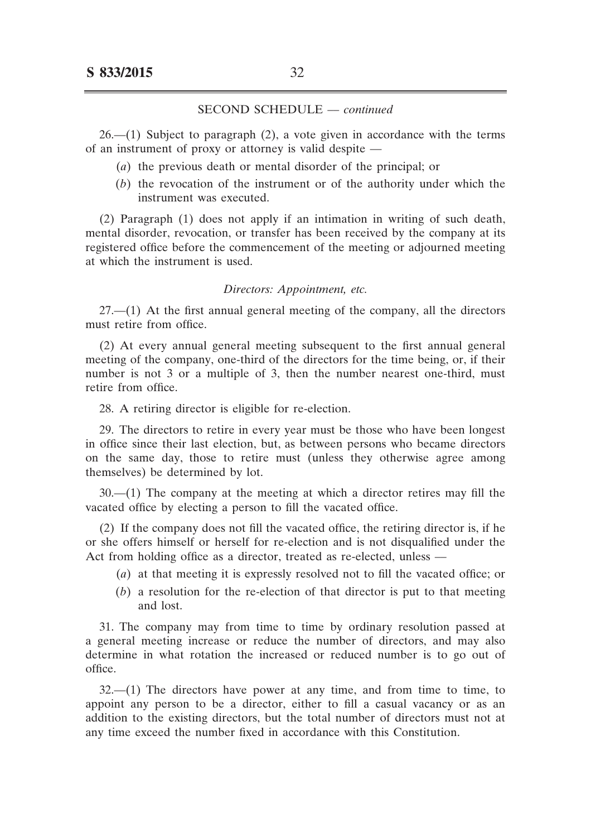$26- (1)$  Subject to paragraph  $(2)$ , a vote given in accordance with the terms of an instrument of proxy or attorney is valid despite ––

- (*a*) the previous death or mental disorder of the principal; or
- (*b*) the revocation of the instrument or of the authority under which the instrument was executed.

(2) Paragraph (1) does not apply if an intimation in writing of such death, mental disorder, revocation, or transfer has been received by the company at its registered office before the commencement of the meeting or adjourned meeting at which the instrument is used.

#### *Directors: Appointment, etc.*

27.––(1) At the first annual general meeting of the company, all the directors must retire from office.

(2) At every annual general meeting subsequent to the first annual general meeting of the company, one-third of the directors for the time being, or, if their number is not 3 or a multiple of 3, then the number nearest one-third, must retire from office.

28. A retiring director is eligible for re-election.

29. The directors to retire in every year must be those who have been longest in office since their last election, but, as between persons who became directors on the same day, those to retire must (unless they otherwise agree among themselves) be determined by lot.

30.––(1) The company at the meeting at which a director retires may fill the vacated office by electing a person to fill the vacated office.

(2) If the company does not fill the vacated office, the retiring director is, if he or she offers himself or herself for re-election and is not disqualified under the Act from holding office as a director, treated as re-elected, unless -

- (*a*) at that meeting it is expressly resolved not to fill the vacated office; or
- $(b)$  a resolution for the re-election of that director is put to that meeting and lost.

31. The company may from time to time by ordinary resolution passed at a general meeting increase or reduce the number of directors, and may also determine in what rotation the increased or reduced number is to go out of office.

 $32$ — $(1)$  The directors have power at any time, and from time to time, to appoint any person to be a director, either to fill a casual vacancy or as an addition to the existing directors, but the total number of directors must not at any time exceed the number fixed in accordance with this Constitution.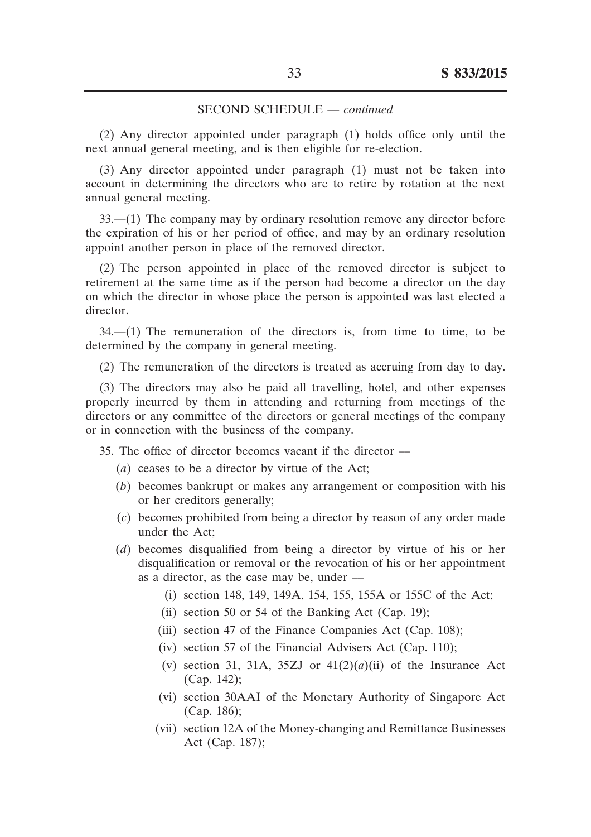(2) Any director appointed under paragraph (1) holds office only until the next annual general meeting, and is then eligible for re-election.

(3) Any director appointed under paragraph (1) must not be taken into account in determining the directors who are to retire by rotation at the next annual general meeting.

33.––(1) The company may by ordinary resolution remove any director before the expiration of his or her period of office, and may by an ordinary resolution appoint another person in place of the removed director.

(2) The person appointed in place of the removed director is subject to retirement at the same time as if the person had become a director on the day on which the director in whose place the person is appointed was last elected a director.

 $34$ — $(1)$  The remuneration of the directors is, from time to time, to be determined by the company in general meeting.

(2) The remuneration of the directors is treated as accruing from day to day.

(3) The directors may also be paid all travelling, hotel, and other expenses properly incurred by them in attending and returning from meetings of the directors or any committee of the directors or general meetings of the company or in connection with the business of the company.

35. The office of director becomes vacant if the director —

- (*a*) ceases to be a director by virtue of the Act;
- (b) becomes bankrupt or makes any arrangement or composition with his or her creditors generally;
- (*c*) becomes prohibited from being a director by reason of any order made under the Act;
- (*d*) becomes disqualified from being a director by virtue of his or her disqualification or removal or the revocation of his or her appointment as a director, as the case may be, under –
	- (i) section 148, 149, 149A, 154, 155, 155A or 155C of the Act;
	- (ii) section 50 or 54 of the Banking Act (Cap. 19);
	- (iii) section 47 of the Finance Companies Act (Cap. 108);
	- (iv) section 57 of the Financial Advisers Act (Cap. 110);
	- (v) section 31, 31A, 35ZJ or  $41(2)(a)(ii)$  of the Insurance Act (Cap. 142);
	- (vi) section 30AAI of the Monetary Authority of Singapore Act (Cap. 186);
	- (vii) section 12A of the Money-changing and Remittance Businesses Act (Cap. 187);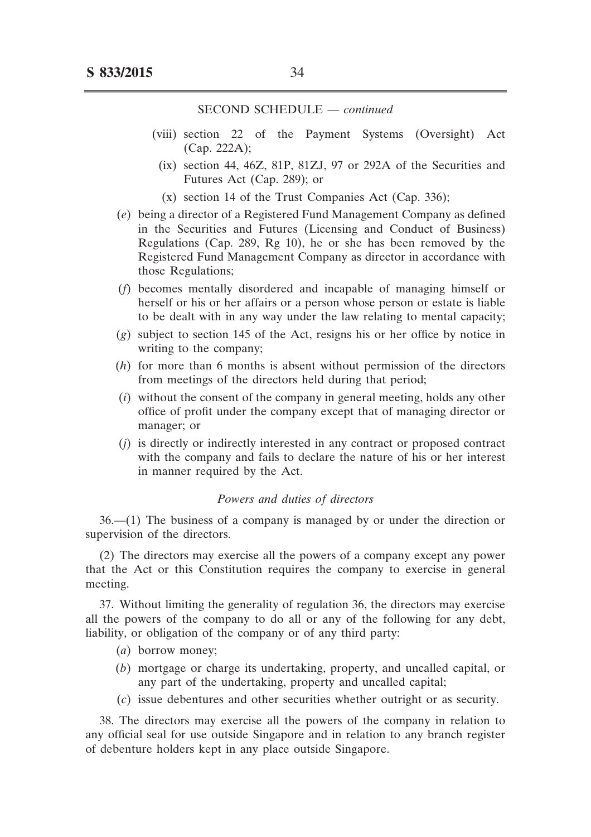- (viii) section 22 of the Payment Systems (Oversight) Act (Cap. 222A);
	- $(ix)$  section 44, 46Z, 81P, 81ZJ, 97 or 292A of the Securities and Futures Act (Cap. 289); or
	- $(x)$  section 14 of the Trust Companies Act (Cap. 336);
- (*e*) being a director of a Registered Fund Management Company as defined in the Securities and Futures (Licensing and Conduct of Business) Regulations (Cap. 289, Rg 10), he or she has been removed by the Registered Fund Management Company as director in accordance with those Regulations;
- (*f*) becomes mentally disordered and incapable of managing himself or herself or his or her affairs or a person whose person or estate is liable to be dealt with in any way under the law relating to mental capacity;
- (*g*) subject to section 145 of the Act, resigns his or her office by notice in writing to the company;
- $(h)$  for more than 6 months is absent without permission of the directors from meetings of the directors held during that period;
- (*i*) without the consent of the company in general meeting, holds any other office of profit under the company except that of managing director or manager; or
- $(i)$  is directly or indirectly interested in any contract or proposed contract with the company and fails to declare the nature of his or her interest in manner required by the Act.

#### *Powers and duties of directors*

36.––(1) The business of a company is managed by or under the direction or supervision of the directors.

(2) The directors may exercise all the powers of a company except any power that the Act or this Constitution requires the company to exercise in general meeting.

37. Without limiting the generality of regulation 36, the directors may exercise all the powers of the company to do all or any of the following for any debt, liability, or obligation of the company or of any third party:

- (*a*) borrow money;
- (*b*) mortgage or charge its undertaking, property, and uncalled capital, or any part of the undertaking, property and uncalled capital;
- (*c*) issue debentures and other securities whether outright or as security.

38. The directors may exercise all the powers of the company in relation to any official seal for use outside Singapore and in relation to any branch register of debenture holders kept in any place outside Singapore.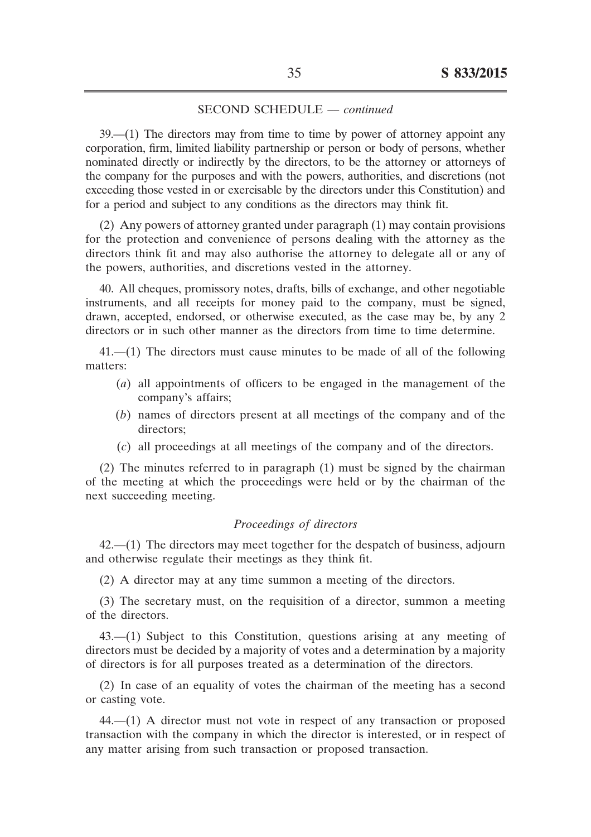39.––(1) The directors may from time to time by power of attorney appoint any corporation, firm, limited liability partnership or person or body of persons, whether nominated directly or indirectly by the directors, to be the attorney or attorneys of the company for the purposes and with the powers, authorities, and discretions (not exceeding those vested in or exercisable by the directors under this Constitution) and for a period and subject to any conditions as the directors may think fit.

(2) Any powers of attorney granted under paragraph (1) may contain provisions for the protection and convenience of persons dealing with the attorney as the directors think fit and may also authorise the attorney to delegate all or any of the powers, authorities, and discretions vested in the attorney.

40. All cheques, promissory notes, drafts, bills of exchange, and other negotiable instruments, and all receipts for money paid to the company, must be signed, drawn, accepted, endorsed, or otherwise executed, as the case may be, by any 2 directors or in such other manner as the directors from time to time determine.

41.––(1) The directors must cause minutes to be made of all of the following matters:

- (*a*) all appointments of officers to be engaged in the management of the company's affairs;
- (*b*) names of directors present at all meetings of the company and of the directors;
- (*c*) all proceedings at all meetings of the company and of the directors.

(2) The minutes referred to in paragraph (1) must be signed by the chairman of the meeting at which the proceedings were held or by the chairman of the next succeeding meeting.

## *Proceedings of directors*

42.––(1) The directors may meet together for the despatch of business, adjourn and otherwise regulate their meetings as they think fit.

(2) A director may at any time summon a meeting of the directors.

(3) The secretary must, on the requisition of a director, summon a meeting of the directors.

43.––(1) Subject to this Constitution, questions arising at any meeting of directors must be decided by a majority of votes and a determination by a majority of directors is for all purposes treated as a determination of the directors.

(2) In case of an equality of votes the chairman of the meeting has a second or casting vote.

44.––(1) A director must not vote in respect of any transaction or proposed transaction with the company in which the director is interested, or in respect of any matter arising from such transaction or proposed transaction.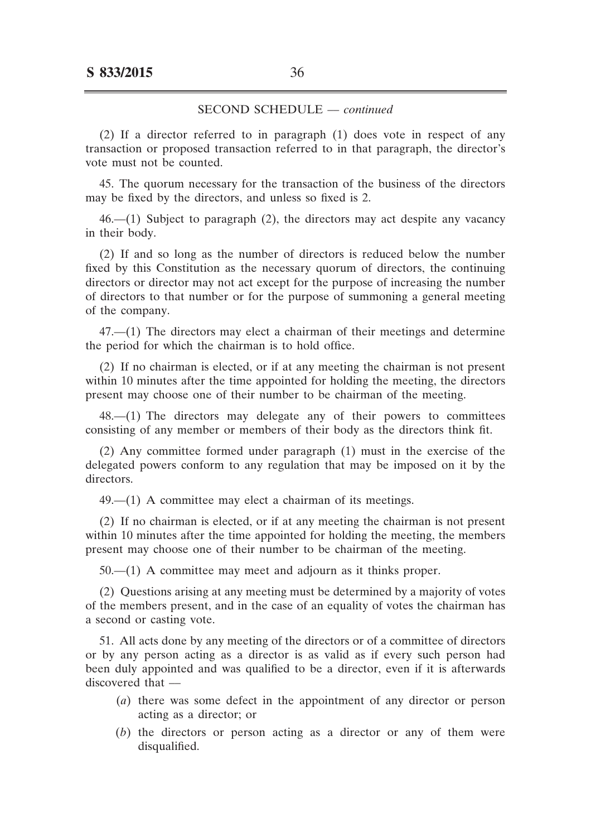(2) If a director referred to in paragraph (1) does vote in respect of any transaction or proposed transaction referred to in that paragraph, the director's vote must not be counted.

45. The quorum necessary for the transaction of the business of the directors may be fixed by the directors, and unless so fixed is 2.

 $46$ — $(1)$  Subject to paragraph  $(2)$ , the directors may act despite any vacancy in their body.

(2) If and so long as the number of directors is reduced below the number fixed by this Constitution as the necessary quorum of directors, the continuing directors or director may not act except for the purpose of increasing the number of directors to that number or for the purpose of summoning a general meeting of the company.

47.––(1) The directors may elect a chairman of their meetings and determine the period for which the chairman is to hold office.

(2) If no chairman is elected, or if at any meeting the chairman is not present within 10 minutes after the time appointed for holding the meeting, the directors present may choose one of their number to be chairman of the meeting.

48.––(1) The directors may delegate any of their powers to committees consisting of any member or members of their body as the directors think fit.

(2) Any committee formed under paragraph (1) must in the exercise of the delegated powers conform to any regulation that may be imposed on it by the directors.

 $49$ , $-$ (1) A committee may elect a chairman of its meetings.

(2) If no chairman is elected, or if at any meeting the chairman is not present within 10 minutes after the time appointed for holding the meeting, the members present may choose one of their number to be chairman of the meeting.

 $50-$ (1) A committee may meet and adjourn as it thinks proper.

(2) Questions arising at any meeting must be determined by a majority of votes of the members present, and in the case of an equality of votes the chairman has a second or casting vote.

51. All acts done by any meeting of the directors or of a committee of directors or by any person acting as a director is as valid as if every such person had been duly appointed and was qualified to be a director, even if it is afterwards discovered that ––

- (*a*) there was some defect in the appointment of any director or person acting as a director; or
- (*b*) the directors or person acting as a director or any of them were disqualified.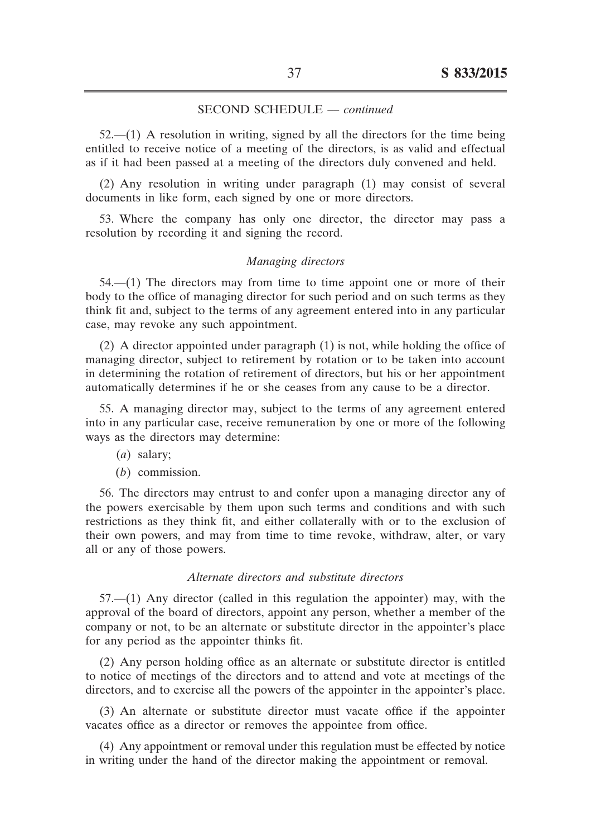$52$ — $(1)$  A resolution in writing, signed by all the directors for the time being entitled to receive notice of a meeting of the directors, is as valid and effectual as if it had been passed at a meeting of the directors duly convened and held.

(2) Any resolution in writing under paragraph (1) may consist of several documents in like form, each signed by one or more directors.

53. Where the company has only one director, the director may pass a resolution by recording it and signing the record.

#### *Managing directors*

54.––(1) The directors may from time to time appoint one or more of their body to the office of managing director for such period and on such terms as they think fit and, subject to the terms of any agreement entered into in any particular case, may revoke any such appointment.

(2) A director appointed under paragraph (1) is not, while holding the office of managing director, subject to retirement by rotation or to be taken into account in determining the rotation of retirement of directors, but his or her appointment automatically determines if he or she ceases from any cause to be a director.

55. A managing director may, subject to the terms of any agreement entered into in any particular case, receive remuneration by one or more of the following ways as the directors may determine:

- (*a*) salary;
- (*b*) commission.

56. The directors may entrust to and confer upon a managing director any of the powers exercisable by them upon such terms and conditions and with such restrictions as they think fit, and either collaterally with or to the exclusion of their own powers, and may from time to time revoke, withdraw, alter, or vary all or any of those powers.

#### *Alternate directors and substitute directors*

57.––(1) Any director (called in this regulation the appointer) may, with the approval of the board of directors, appoint any person, whether a member of the company or not, to be an alternate or substitute director in the appointer's place for any period as the appointer thinks fit.

(2) Any person holding office as an alternate or substitute director is entitled to notice of meetings of the directors and to attend and vote at meetings of the directors, and to exercise all the powers of the appointer in the appointer's place.

(3) An alternate or substitute director must vacate office if the appointer vacates office as a director or removes the appointee from office.

(4) Any appointment or removal under this regulation must be effected by notice in writing under the hand of the director making the appointment or removal.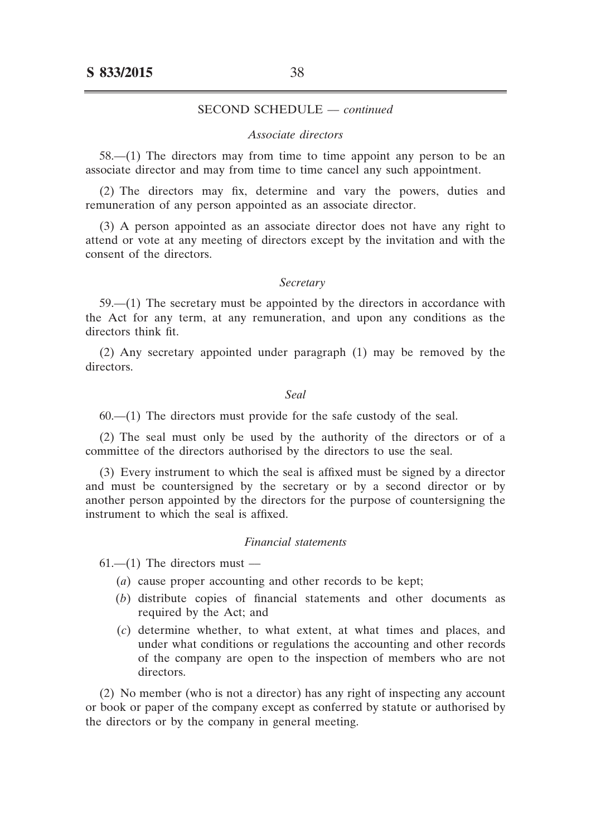#### *Associate directors*

58.––(1) The directors may from time to time appoint any person to be an associate director and may from time to time cancel any such appointment.

(2) The directors may fix, determine and vary the powers, duties and remuneration of any person appointed as an associate director.

(3) A person appointed as an associate director does not have any right to attend or vote at any meeting of directors except by the invitation and with the consent of the directors.

#### *Secretary*

 $59$ — $(1)$  The secretary must be appointed by the directors in accordance with the Act for any term, at any remuneration, and upon any conditions as the directors think fit.

(2) Any secretary appointed under paragraph (1) may be removed by the directors.

#### *Seal*

 $60$ — $(1)$  The directors must provide for the safe custody of the seal.

(2) The seal must only be used by the authority of the directors or of a committee of the directors authorised by the directors to use the seal.

(3) Every instrument to which the seal is affixed must be signed by a director and must be countersigned by the secretary or by a second director or by another person appointed by the directors for the purpose of countersigning the instrument to which the seal is affixed.

#### *Financial statements*

 $61$ ––(1) The directors must ––

- (*a*) cause proper accounting and other records to be kept;
- (*b*) distribute copies of financial statements and other documents as required by the Act; and
- (*c*) determine whether, to what extent, at what times and places, and under what conditions or regulations the accounting and other records of the company are open to the inspection of members who are not directors.

(2) No member (who is not a director) has any right of inspecting any account or book or paper of the company except as conferred by statute or authorised by the directors or by the company in general meeting.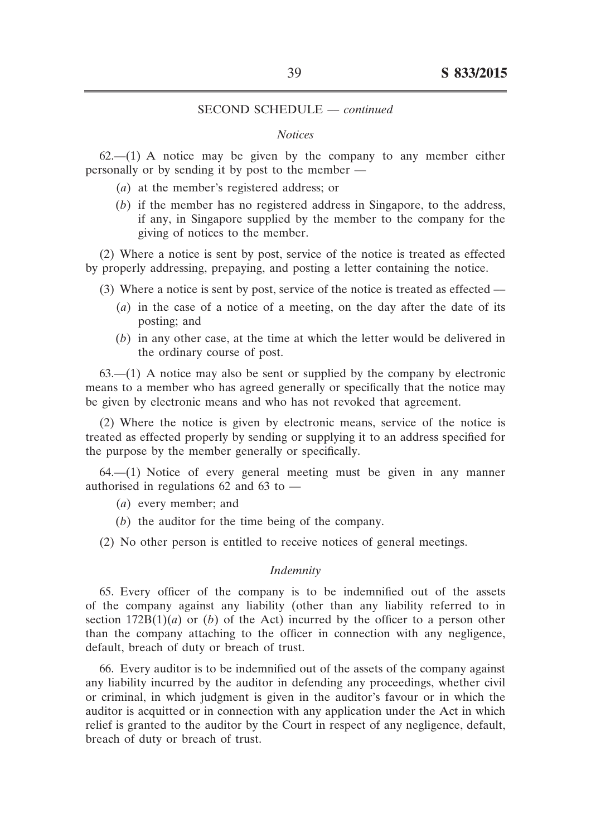#### *Notices*

 $62$ — $(1)$  A notice may be given by the company to any member either personally or by sending it by post to the member ––

- (*a*) at the member's registered address; or
- $(b)$  if the member has no registered address in Singapore, to the address, if any, in Singapore supplied by the member to the company for the giving of notices to the member.

(2) Where a notice is sent by post, service of the notice is treated as effected by properly addressing, prepaying, and posting a letter containing the notice.

- (3) Where a notice is sent by post, service of the notice is treated as effected ––
	- (*a*) in the case of a notice of a meeting, on the day after the date of its posting; and
	- (*b*) in any other case, at the time at which the letter would be delivered in the ordinary course of post.

 $63$ — $(1)$  A notice may also be sent or supplied by the company by electronic means to a member who has agreed generally or specifically that the notice may be given by electronic means and who has not revoked that agreement.

(2) Where the notice is given by electronic means, service of the notice is treated as effected properly by sending or supplying it to an address specified for the purpose by the member generally or specifically.

64.––(1) Notice of every general meeting must be given in any manner authorised in regulations 62 and 63 to ––

- (*a*) every member; and
- (*b*) the auditor for the time being of the company.
- (2) No other person is entitled to receive notices of general meetings.

#### *Indemnity*

65. Every officer of the company is to be indemnified out of the assets of the company against any liability (other than any liability referred to in section  $172B(1)(a)$  or (*b*) of the Act) incurred by the officer to a person other than the company attaching to the officer in connection with any negligence, default, breach of duty or breach of trust.

66. Every auditor is to be indemnified out of the assets of the company against any liability incurred by the auditor in defending any proceedings, whether civil or criminal, in which judgment is given in the auditor's favour or in which the auditor is acquitted or in connection with any application under the Act in which relief is granted to the auditor by the Court in respect of any negligence, default, breach of duty or breach of trust.